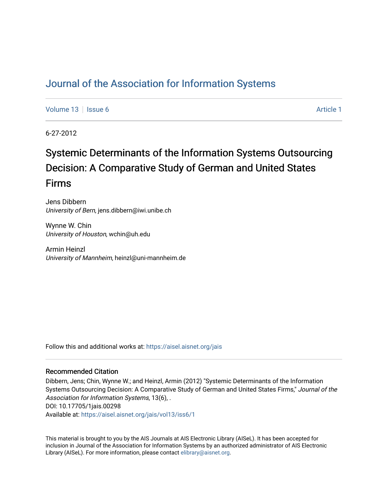# [Journal of the Association for Information Systems](https://aisel.aisnet.org/jais)

[Volume 13](https://aisel.aisnet.org/jais/vol13) Setup 6 [Article 1](https://aisel.aisnet.org/jais/vol13/iss6/1) Article 1 Article 1 Article 1 Article 1 Article 1 Article 1

6-27-2012

# Systemic Determinants of the Information Systems Outsourcing Decision: A Comparative Study of German and United States Firms

Jens Dibbern University of Bern, jens.dibbern@iwi.unibe.ch

Wynne W. Chin University of Houston, wchin@uh.edu

Armin Heinzl University of Mannheim, heinzl@uni-mannheim.de

Follow this and additional works at: [https://aisel.aisnet.org/jais](https://aisel.aisnet.org/jais?utm_source=aisel.aisnet.org%2Fjais%2Fvol13%2Fiss6%2F1&utm_medium=PDF&utm_campaign=PDFCoverPages) 

### Recommended Citation

Dibbern, Jens; Chin, Wynne W.; and Heinzl, Armin (2012) "Systemic Determinants of the Information Systems Outsourcing Decision: A Comparative Study of German and United States Firms," Journal of the Association for Information Systems, 13(6), . DOI: 10.17705/1jais.00298 Available at: [https://aisel.aisnet.org/jais/vol13/iss6/1](https://aisel.aisnet.org/jais/vol13/iss6/1?utm_source=aisel.aisnet.org%2Fjais%2Fvol13%2Fiss6%2F1&utm_medium=PDF&utm_campaign=PDFCoverPages)

This material is brought to you by the AIS Journals at AIS Electronic Library (AISeL). It has been accepted for inclusion in Journal of the Association for Information Systems by an authorized administrator of AIS Electronic Library (AISeL). For more information, please contact [elibrary@aisnet.org.](mailto:elibrary@aisnet.org%3E)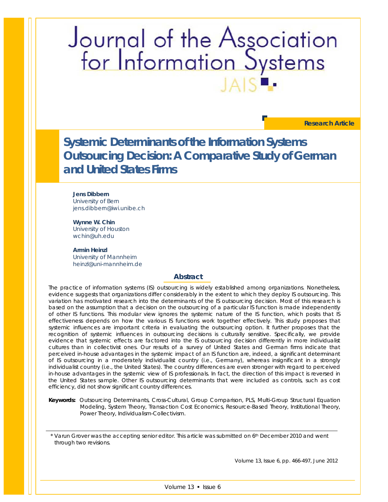# Journal of the Association<br>for Information Systems

**Research Article**

**Systemic Determinants of the Information Systems Outsourcing Decision: A Comparative Study of German and United States Firms**

**Jens Dibbern** University of Bern jens.dibbern@iwi.unibe.ch

**Wynne W. Chin** University of Houston wchin@uh.edu

**Armin Heinzl** University of Mannheim heinzl@uni-mannheim.de

### **Abstract**

*The practice of information systems (IS) outsourcing is widely established among organizations. Nonetheless, evidence suggests that organizations differ considerably in the extent to which they deploy IS outsourcing. This*  variation has motivated research into the determinants of the IS outsourcing decision. Most of this research is *based on the assumption that a decision on the outsourcing of a particular IS function is made independently of other IS functions. This modular view ignores the systemic nature of the IS function, which posits that IS effectiveness depends on how the various IS functions work together effectively. This study proposes that systemic influences are important criteria in evaluating the outsourcing option. It further proposes that the*  recognition of systemic influences in outsourcing decisions is culturally sensitive. Specifically, we provide *evidence that systemic effects are factored into the IS outsourcing decision differently in more individualist cultures than in collectivist ones. Our results of a survey of United States and German firms indicate that perceived in-house advantages in the systemic impact of an IS function are, indeed, a significant determinant of IS outsourcing in a moderately individualist country (i.e., Germany), whereas insignificant in a strongly individualist country (i.e., the United States). The country differences are even stronger with regard to perceived in-house advantages in the systemic view of IS professionals. In fact, the direction of this impact is reversed in the United States sample. Other IS outsourcing determinants that were included as controls, such as cost efficiency, did not show significant country differences.*

*Keywords: Outsourcing Determinants, Cross-Cultural, Group Comparison, PLS, Multi-Group Structural Equation Modeling, System Theory, Transaction Cost Economics, Resource-Based Theory, Institutional Theory, Power Theory, Individualism-Collectivism.*

\* Varun Grover was the accepting senior editor. This article was submitted on 6th December 2010 and went through two revisions.

Volume 13, Issue 6, pp. 466-497, June 2012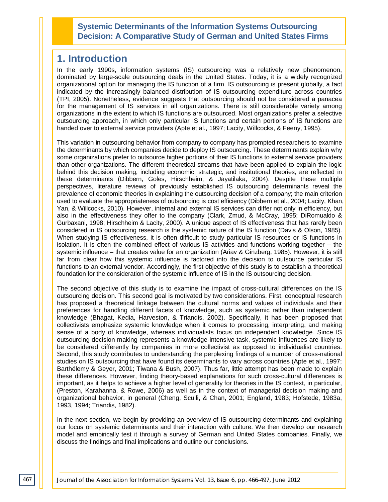## **Systemic Determinants of the Information Systems Outsourcing Decision: A Comparative Study of German and United States Firms**

# **1. Introduction**

In the early 1990s, information systems (IS) outsourcing was a relatively new phenomenon, dominated by large-scale outsourcing deals in the United States. Today, it is a widely recognized organizational option for managing the IS function of a firm. IS outsourcing is present globally, a fact indicated by the increasingly balanced distribution of IS outsourcing expenditure across countries (TPI, 2005). Nonetheless, evidence suggests that outsourcing should not be considered a panacea for the management of IS services in all organizations. There is still considerable variety among organizations in the extent to which IS functions are outsourced. Most organizations prefer a selective outsourcing approach, in which only particular IS functions and certain portions of IS functions are handed over to external service providers (Apte et al., 1997; Lacity, Willcocks, & Feeny, 1995).

This variation in outsourcing behavior from company to company has prompted researchers to examine the determinants by which companies decide to deploy IS outsourcing. These determinants explain why some organizations prefer to outsource higher portions of their IS functions to external service providers than other organizations. The different theoretical streams that have been applied to explain the logic behind this decision making, including economic, strategic, and institutional theories, are reflected in these determinants (Dibbern, Goles, Hirschheim, & Jayatilaka, 2004). Despite these multiple perspectives, literature reviews of previously established IS outsourcing determinants reveal the prevalence of economic theories in explaining the outsourcing decision of a company; the main criterion used to evaluate the appropriateness of outsourcing is cost efficiency (Dibbern et al., 2004; Lacity, Khan, Yan, & Willcocks, 2010). However, internal and external IS services can differ not only in efficiency, but also in the effectiveness they offer to the company (Clark, Zmud, & McCray, 1995; DiRomualdo & Gurbaxani, 1998; Hirschheim & Lacity, 2000). A unique aspect of IS effectiveness that has rarely been considered in IS outsourcing research is the systemic nature of the IS function (Davis & Olson, 1985). When studying IS effectiveness, it is often difficult to study particular IS resources or IS functions in isolation. It is often the combined effect of various IS activities and functions working together – the systemic influence – that creates value for an organization (Ariav & Ginzberg, 1985). However, it is still far from clear how this systemic influence is factored into the decision to outsource particular IS functions to an external vendor. Accordingly, the first objective of this study is to establish a theoretical foundation for the consideration of the systemic influence of IS in the IS outsourcing decision.

The second objective of this study is to examine the impact of cross-cultural differences on the IS outsourcing decision. This second goal is motivated by two considerations. First, conceptual research has proposed a theoretical linkage between the cultural norms and values of individuals and their preferences for handling different facets of knowledge, such as systemic rather than independent knowledge (Bhagat, Kedia, Harveston, & Triandis, 2002). Specifically, it has been proposed that collectivists emphasize systemic knowledge when it comes to processing, interpreting, and making sense of a body of knowledge, whereas individualists focus on independent knowledge. Since IS outsourcing decision making represents a knowledge-intensive task, systemic influences are likely to be considered differently by companies in more collectivist as opposed to individualist countries. Second, this study contributes to understanding the perplexing findings of a number of cross-national studies on IS outsourcing that have found its determinants to vary across countries (Apte et al., 1997; Barthélemy & Geyer, 2001; Tiwana & Bush, 2007). Thus far, little attempt has been made to explain these differences. However, finding theory-based explanations for such cross-cultural differences is important, as it helps to achieve a higher level of generality for theories in the IS context, in particular, (Preston, Karahanna, & Rowe, 2006) as well as in the context of managerial decision making and organizational behavior, in general (Cheng, Sculli, & Chan, 2001; England, 1983; Hofstede, 1983a, 1993, 1994; Triandis, 1982).

In the next section, we begin by providing an overview of IS outsourcing determinants and explaining our focus on systemic determinants and their interaction with culture. We then develop our research model and empirically test it through a survey of German and United States companies. Finally, we discuss the findings and final implications and outline our conclusions.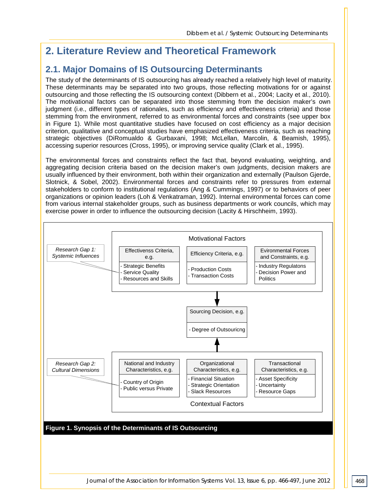# **2. Literature Review and Theoretical Framework**

# **2.1. Major Domains of IS Outsourcing Determinants**

The study of the determinants of IS outsourcing has already reached a relatively high level of maturity. These determinants may be separated into two groups, those reflecting motivations for or against outsourcing and those reflecting the IS outsourcing context (Dibbern et al., 2004; Lacity et al., 2010). The motivational factors can be separated into those stemming from the decision maker's own judgment (i.e., different types of rationales, such as efficiency and effectiveness criteria) and those stemming from the environment, referred to as environmental forces and constraints (see upper box in Figure 1). While most quantitative studies have focused on cost efficiency as a major decision criterion, qualitative and conceptual studies have emphasized effectiveness criteria, such as reaching strategic objectives (DiRomualdo & Gurbaxani, 1998; McLellan, Marcolin, & Beamish, 1995), accessing superior resources (Cross, 1995), or improving service quality (Clark et al., 1995).

The environmental forces and constraints reflect the fact that, beyond evaluating, weighting, and aggregating decision criteria based on the decision maker's own judgments, decision makers are usually influenced by their environment, both within their organization and externally (Paulson Gjerde, Slotnick, & Sobel, 2002). Environmental forces and constraints refer to pressures from external stakeholders to conform to institutional regulations (Ang & Cummings, 1997) or to behaviors of peer organizations or opinion leaders (Loh & Venkatraman, 1992). Internal environmental forces can come from various internal stakeholder groups, such as business departments or work councils, which may exercise power in order to influence the outsourcing decision (Lacity & Hirschheim, 1993).

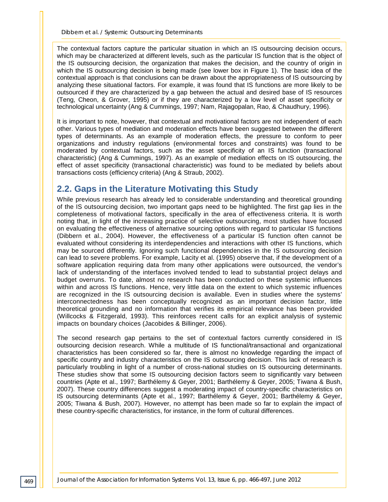The contextual factors capture the particular situation in which an IS outsourcing decision occurs, which may be characterized at different levels, such as the particular IS function that is the object of the IS outsourcing decision, the organization that makes the decision, and the country of origin in which the IS outsourcing decision is being made (see lower box in Figure 1). The basic idea of the contextual approach is that conclusions can be drawn about the appropriateness of IS outsourcing by analyzing these situational factors. For example, it was found that IS functions are more likely to be outsourced if they are characterized by a gap between the actual and desired base of IS resources (Teng, Cheon, & Grover, 1995) or if they are characterized by a low level of asset specificity or technological uncertainty (Ang & Cummings, 1997; Nam, Rajagopalan, Rao, & Chaudhury, 1996).

It is important to note, however, that contextual and motivational factors are not independent of each other. Various types of mediation and moderation effects have been suggested between the different types of determinants. As an example of moderation effects, the pressure to conform to peer organizations and industry regulations (environmental forces and constraints) was found to be moderated by contextual factors, such as the asset specificity of an IS function (transactional characteristic) (Ang & Cummings, 1997). As an example of mediation effects on IS outsourcing, the effect of asset specificity (transactional characteristic) was found to be mediated by beliefs about transactions costs (efficiency criteria) (Ang & Straub, 2002).

# **2.2. Gaps in the Literature Motivating this Study**

While previous research has already led to considerable understanding and theoretical grounding of the IS outsourcing decision, two important gaps need to be highlighted. The first gap lies in the completeness of motivational factors, specifically in the area of effectiveness criteria. It is worth noting that, in light of the increasing practice of selective outsourcing, most studies have focused on evaluating the effectiveness of alternative sourcing options with regard to particular IS functions (Dibbern et al., 2004). However, the effectiveness of a particular IS function often cannot be evaluated without considering its interdependencies and interactions with other IS functions, which may be sourced differently. Ignoring such functional dependencies in the IS outsourcing decision can lead to severe problems. For example, Lacity et al. (1995) observe that, if the development of a software application requiring data from many other applications were outsourced, the vendor's lack of understanding of the interfaces involved tended to lead to substantial project delays and budget overruns. To date, almost no research has been conducted on these systemic influences within and across IS functions. Hence, very little data on the extent to which systemic influences are recognized in the IS outsourcing decision is available. Even in studies where the systems' interconnectedness has been conceptually recognized as an important decision factor, little theoretical grounding and no information that verifies its empirical relevance has been provided (Willcocks & Fitzgerald, 1993). This reinforces recent calls for an explicit analysis of systemic impacts on boundary choices (Jacobides & Billinger, 2006).

The second research gap pertains to the set of contextual factors currently considered in IS outsourcing decision research. While a multitude of IS functional/transactional and organizational characteristics has been considered so far, there is almost no knowledge regarding the impact of specific country and industry characteristics on the IS outsourcing decision. This lack of research is particularly troubling in light of a number of cross-national studies on IS outsourcing determinants. These studies show that some IS outsourcing decision factors seem to significantly vary between countries (Apte et al., 1997; Barthélemy & Geyer, 2001; Barthélemy & Geyer, 2005; Tiwana & Bush, 2007). These country differences suggest a moderating impact of country-specific characteristics on IS outsourcing determinants (Apte et al., 1997; Barthélemy & Geyer, 2001; Barthélemy & Geyer, 2005; Tiwana & Bush, 2007). However, no attempt has been made so far to explain the impact of these country-specific characteristics, for instance, in the form of cultural differences.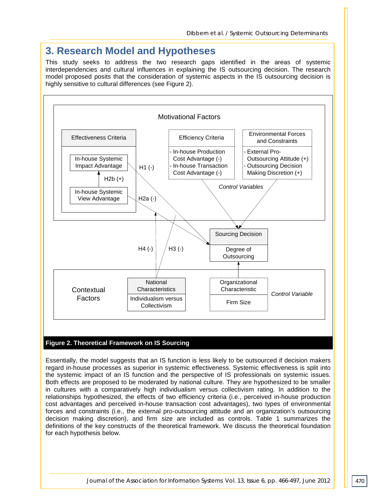# **3. Research Model and Hypotheses**

This study seeks to address the two research gaps identified in the areas of systemic interdependencies and cultural influences in explaining the IS outsourcing decision. The research model proposed posits that the consideration of systemic aspects in the IS outsourcing decision is highly sensitive to cultural differences (see Figure 2).



### **Figure 2. Theoretical Framework on IS Sourcing**

Essentially, the model suggests that an IS function is less likely to be outsourced if decision makers regard in-house processes as superior in systemic effectiveness. Systemic effectiveness is split into the systemic impact of an IS function and the perspective of IS professionals on systemic issues. Both effects are proposed to be moderated by national culture. They are hypothesized to be smaller in cultures with a comparatively high individualism versus collectivism rating. In addition to the relationships hypothesized, the effects of two efficiency criteria (i.e., perceived in-house production cost advantages and perceived in-house transaction cost advantages), two types of environmental forces and constraints (i.e., the external pro-outsourcing attitude and an organization's outsourcing decision making discretion), and firm size are included as controls. Table 1 summarizes the definitions of the key constructs of the theoretical framework. We discuss the theoretical foundation for each hypothesis below.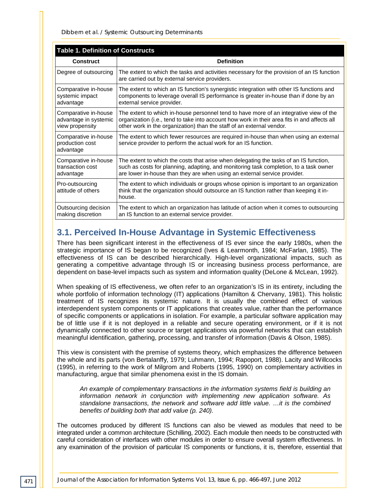| <b>Table 1. Definition of Constructs</b>                         |                                                                                                                                                                                                                                                                 |  |  |  |  |  |
|------------------------------------------------------------------|-----------------------------------------------------------------------------------------------------------------------------------------------------------------------------------------------------------------------------------------------------------------|--|--|--|--|--|
| <b>Construct</b>                                                 | <b>Definition</b>                                                                                                                                                                                                                                               |  |  |  |  |  |
| Degree of outsourcing                                            | The extent to which the tasks and activities necessary for the provision of an IS function<br>are carried out by external service providers.                                                                                                                    |  |  |  |  |  |
| Comparative in-house<br>systemic impact<br>advantage             | The extent to which an IS function's synergistic integration with other IS functions and<br>components to leverage overall IS performance is greater in-house than if done by an<br>external service provider.                                                  |  |  |  |  |  |
| Comparative in-house<br>advantage in systemic<br>view propensity | The extent to which in-house personnel tend to have more of an integrative view of the<br>organization (i.e., tend to take into account how work in their area fits in and affects all<br>other work in the organization) than the staff of an external vendor. |  |  |  |  |  |
| Comparative in-house<br>production cost<br>advantage             | The extent to which fewer resources are required in-house than when using an external<br>service provider to perform the actual work for an IS function.                                                                                                        |  |  |  |  |  |
| Comparative in-house<br>transaction cost<br>advantage            | The extent to which the costs that arise when delegating the tasks of an IS function,<br>such as costs for planning, adapting, and monitoring task completion, to a task owner<br>are lower in-house than they are when using an external service provider.     |  |  |  |  |  |
| Pro-outsourcing<br>attitude of others                            | The extent to which individuals or groups whose opinion is important to an organization<br>think that the organization should outsource an IS function rather than keeping it in-<br>house.                                                                     |  |  |  |  |  |
| Outsourcing decision<br>making discretion                        | The extent to which an organization has latitude of action when it comes to outsourcing<br>an IS function to an external service provider.                                                                                                                      |  |  |  |  |  |

# **3.1. Perceived In-House Advantage in Systemic Effectiveness**

There has been significant interest in the effectiveness of IS ever since the early 1980s, when the strategic importance of IS began to be recognized (Ives & Learmonth, 1984; McFarlan, 1985). The effectiveness of IS can be described hierarchically. High-level organizational impacts, such as generating a competitive advantage through IS or increasing business process performance, are dependent on base-level impacts such as system and information quality (DeLone & McLean, 1992).

When speaking of IS effectiveness, we often refer to an organization's IS in its entirety, including the whole portfolio of information technology (IT) applications (Hamilton & Chervany, 1981). This holistic treatment of IS recognizes its systemic nature. It is usually the combined effect of various interdependent system components or IT applications that creates value, rather than the performance of specific components or applications in isolation. For example, a particular software application may be of little use if it is not deployed in a reliable and secure operating environment, or if it is not dynamically connected to other source or target applications via powerful networks that can establish meaningful identification, gathering, processing, and transfer of information (Davis & Olson, 1985).

This view is consistent with the premise of systems theory, which emphasizes the difference between the whole and its parts (von Bertalanffy, 1979; Luhmann, 1994; Rapoport, 1988). Lacity and Willcocks (1995), in referring to the work of Milgrom and Roberts (1995, 1990) on complementary activities in manufacturing, argue that similar phenomena exist in the IS domain.

*An example of complementary transactions in the information systems field is building an information network in conjunction with implementing new application software. As standalone transactions, the network and software add little value. …it is the combined benefits of building both that add value (p. 240).*

The outcomes produced by different IS functions can also be viewed as modules that need to be integrated under a common architecture (Schilling, 2002). Each module then needs to be constructed with careful consideration of interfaces with other modules in order to ensure overall system effectiveness. In any examination of the provision of particular IS components or functions, it is, therefore, essential that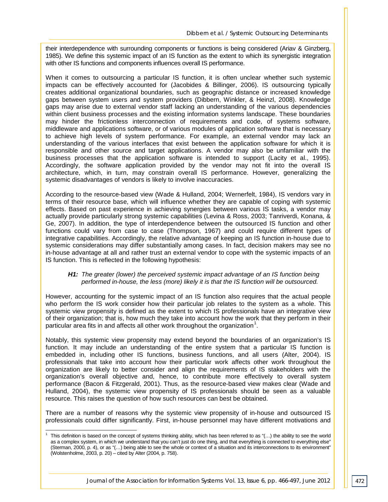their interdependence with surrounding components or functions is being considered (Ariav & Ginzberg, 1985). We define this systemic impact of an IS function as the extent to which its synergistic integration with other IS functions and components influences overall IS performance.

When it comes to outsourcing a particular IS function, it is often unclear whether such systemic impacts can be effectively accounted for (Jacobides & Billinger, 2006). IS outsourcing typically creates additional organizational boundaries, such as geographic distance or increased knowledge gaps between system users and system providers (Dibbern, Winkler, & Heinzl, 2008). Knowledge gaps may arise due to external vendor staff lacking an understanding of the various dependencies within client business processes and the existing information systems landscape. These boundaries may hinder the frictionless interconnection of requirements and code, of systems software, middleware and applications software, or of various modules of application software that is necessary to achieve high levels of system performance. For example, an external vendor may lack an understanding of the various interfaces that exist between the application software for which it is responsible and other source and target applications. A vendor may also be unfamiliar with the business processes that the application software is intended to support (Lacity et al., 1995). Accordingly, the software application provided by the vendor may not fit into the overall IS architecture, which, in turn, may constrain overall IS performance. However, generalizing the systemic disadvantages of vendors is likely to involve inaccuracies.

According to the resource-based view (Wade & Hulland, 2004; Wernerfelt, 1984), IS vendors vary in terms of their resource base, which will influence whether they are capable of coping with systemic effects. Based on past experience in achieving synergies between various IS tasks, a vendor may actually provide particularly strong systemic capabilities (Levina & Ross, 2003; Tanriverdi, Konana, & Ge, 2007). In addition, the type of interdependence between the outsourced IS function and other functions could vary from case to case (Thompson, 1967) and could require different types of integrative capabilities. Accordingly, the relative advantage of keeping an IS function in-house due to systemic considerations may differ substantially among cases. In fact, decision makers may see no in-house advantage at all and rather trust an external vendor to cope with the systemic impacts of an IS function. This is reflected in the following hypothesis:

### *H1: The greater (lower) the perceived systemic impact advantage of an IS function being performed in-house, the less (more) likely it is that the IS function will be outsourced.*

However, accounting for the systemic impact of an IS function also requires that the actual people who perform the IS work consider how their particular job relates to the system as a whole. This systemic view propensity is defined as the extent to which IS professionals have an integrative view of their organization; that is, how much they take into account how the work that they perform in their particular area fits in and affects all other work throughout the organization<sup>[1](#page-7-0)</sup>.

Notably, this systemic view propensity may extend beyond the boundaries of an organization's IS function. It may include an understanding of the entire system that a particular IS function is embedded in, including other IS functions, business functions, and all users (Alter, 2004). IS professionals that take into account how their particular work affects other work throughout the organization are likely to better consider and align the requirements of IS stakeholders with the organization's overall objective and, hence, to contribute more effectively to overall system performance (Bacon & Fitzgerald, 2001). Thus, as the resource-based view makes clear (Wade and Hulland, 2004), the systemic view propensity of IS professionals should be seen as a valuable resource. This raises the question of how such resources can best be obtained.

There are a number of reasons why the systemic view propensity of in-house and outsourced IS professionals could differ significantly. First, in-house personnel may have different motivations and

<span id="page-7-0"></span> <sup>1</sup> This definition is based on the concept of systems thinking ability, which has been referred to as "(…) the ability to see the world as a complex system, in which we understand that you can't just do one thing, and that everything is connected to everything else" (Sterman, 2000, p. 4), or as "(…) being able to see the whole or context of a situation and its interconnections to its environment" (Wolstenholme, 2003, p. 20) – cited by Alter (2004, p. 758).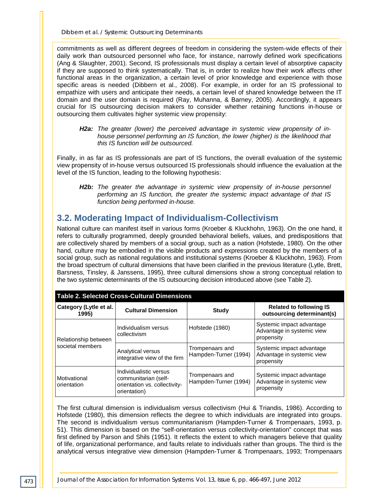commitments as well as different degrees of freedom in considering the system-wide effects of their daily work than outsourced personnel who face, for instance, narrowly defined work specifications (Ang & Slaughter, 2001). Second, IS professionals must display a certain level of absorptive capacity if they are supposed to think systematically. That is, in order to realize how their work affects other functional areas in the organization, a certain level of prior knowledge and experience with those specific areas is needed (Dibbern et al., 2008). For example, in order for an IS professional to empathize with users and anticipate their needs, a certain level of shared knowledge between the IT domain and the user domain is required (Ray, Muhanna, & Barney, 2005). Accordingly, it appears crucial for IS outsourcing decision makers to consider whether retaining functions in-house or outsourcing them cultivates higher systemic view propensity:

### *H2a: The greater (lower) the perceived advantage in systemic view propensity of inhouse personnel performing an IS function, the lower (higher) is the likelihood that this IS function will be outsourced.*

Finally, in as far as IS professionals are part of IS functions, the overall evaluation of the systemic view propensity of in-house versus outsourced IS professionals should influence the evaluation at the level of the IS function, leading to the following hypothesis:

**H2b:** The greater the advantage in systemic view propensity of in-house personnel *performing an IS function, the greater the systemic impact advantage of that IS function being performed in-house.*

# **3.2. Moderating Impact of Individualism-Collectivism**

National culture can manifest itself in various forms (Kroeber & Kluckhohn, 1963). On the one hand, it refers to culturally programmed, deeply grounded behavioral beliefs, values, and predispositions that are collectively shared by members of a social group, such as a nation (Hofstede, 1980). On the other hand, culture may be embodied in the visible products and expressions created by the members of a social group, such as national regulations and institutional systems (Kroeber & Kluckhohn, 1963). From the broad spectrum of cultural dimensions that have been clarified in the previous literature (Lytle, Brett, Barsness, Tinsley, & Janssens, 1995), three cultural dimensions show a strong conceptual relation to the two systemic determinants of the IS outsourcing decision introduced above (see Table 2).

| <b>Table 2. Selected Cross-Cultural Dimensions</b> |                                                                                                 |                                          |                                                                       |  |  |  |  |
|----------------------------------------------------|-------------------------------------------------------------------------------------------------|------------------------------------------|-----------------------------------------------------------------------|--|--|--|--|
| Category (Lytle et al.<br>1995)                    | <b>Cultural Dimension</b>                                                                       | Study                                    | <b>Related to following IS</b><br>outsourcing determinant(s)          |  |  |  |  |
| Relationship between                               | Individualism versus<br>collectivism                                                            | Hofstede (1980)                          | Systemic impact advantage<br>Advantage in systemic view<br>propensity |  |  |  |  |
| societal members                                   | Analytical versus<br>integrative view of the firm                                               | Trompenaars and<br>Hampden-Turner (1994) | Systemic impact advantage<br>Advantage in systemic view<br>propensity |  |  |  |  |
| Motivational<br>orientation                        | Individualistic versus<br>communitarian (self-<br>orientation vs. collectivity-<br>orientation) | Trompenaars and<br>Hampden-Turner (1994) | Systemic impact advantage<br>Advantage in systemic view<br>propensity |  |  |  |  |

The first cultural dimension is individualism versus collectivism (Hui & Triandis, 1986). According to Hofstede (1980), this dimension reflects the degree to which individuals are integrated into groups. The second is individualism versus communitarianism (Hampden-Turner & Trompenaars, 1993, p. 51). This dimension is based on the "self-orientation versus collectivity-orientation" concept that was first defined by Parson and Shils (1951). It reflects the extent to which managers believe that quality of life, organizational performance, and faults relate to individuals rather than groups. The third is the analytical versus integrative view dimension (Hampden-Turner & Trompenaars, 1993; Trompenaars

*473*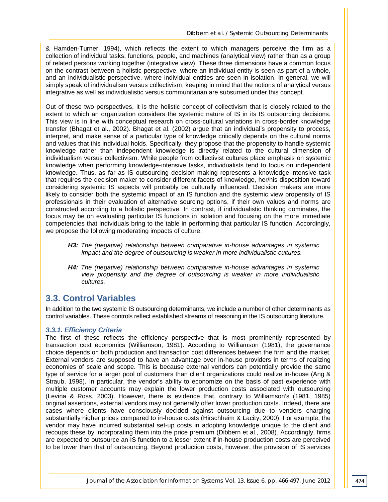& Hamden-Turner, 1994), which reflects the extent to which managers perceive the firm as a collection of individual tasks, functions, people, and machines (analytical view) rather than as a group of related persons working together (integrative view). These three dimensions have a common focus on the contrast between a holistic perspective, where an individual entity is seen as part of a whole, and an individualistic perspective, where individual entities are seen in isolation. In general, we will simply speak of individualism versus collectivism, keeping in mind that the notions of analytical versus integrative as well as individualistic versus communitarian are subsumed under this concept.

Out of these two perspectives, it is the holistic concept of collectivism that is closely related to the extent to which an organization considers the systemic nature of IS in its IS outsourcing decisions. This view is in line with conceptual research on cross-cultural variations in cross-border knowledge transfer (Bhagat et al., 2002). Bhagat et al. (2002) argue that an individual's propensity to process, interpret, and make sense of a particular type of knowledge critically depends on the cultural norms and values that this individual holds. Specifically, they propose that the propensity to handle systemic knowledge rather than independent knowledge is directly related to the cultural dimension of individualism versus collectivism. While people from collectivist cultures place emphasis on systemic knowledge when performing knowledge-intensive tasks, individualists tend to focus on independent knowledge. Thus, as far as IS outsourcing decision making represents a knowledge-intensive task that requires the decision maker to consider different facets of knowledge, her/his disposition toward considering systemic IS aspects will probably be culturally influenced. Decision makers are more likely to consider both the systemic impact of an IS function and the systemic view propensity of IS professionals in their evaluation of alternative sourcing options, if their own values and norms are constructed according to a holistic perspective. In contrast, if individualistic thinking dominates, the focus may be on evaluating particular IS functions in isolation and focusing on the more immediate competencies that individuals bring to the table in performing that particular IS function. Accordingly, we propose the following moderating impacts of culture:

- *H3: The (negative) relationship between comparative in-house advantages in systemic impact and the degree of outsourcing is weaker in more individualistic cultures.*
- *H4: The (negative) relationship between comparative in-house advantages in systemic view propensity and the degree of outsourcing is weaker in more individualistic cultures.*

# **3.3. Control Variables**

In addition to the two systemic IS outsourcing determinants, we include a number of other determinants as control variables. These controls reflect established streams of reasoning in the IS outsourcing literature.

### *3.3.1. Efficiency Criteria*

The first of these reflects the efficiency perspective that is most prominently represented by transaction cost economics (Williamson, 1981). According to Williamson (1981), the governance choice depends on both production and transaction cost differences between the firm and the market. External vendors are supposed to have an advantage over in-house providers in terms of realizing economies of scale and scope. This is because external vendors can potentially provide the same type of service for a larger pool of customers than client organizations could realize in-house (Ang & Straub, 1998). In particular, the vendor's ability to economize on the basis of past experience with multiple customer accounts may explain the lower production costs associated with outsourcing (Levina & Ross, 2003). However, there is evidence that, contrary to Williamson's (1981, 1985) original assertions, external vendors may not generally offer lower production costs. Indeed, there are cases where clients have consciously decided against outsourcing due to vendors charging substantially higher prices compared to in-house costs (Hirschheim & Lacity, 2000). For example, the vendor may have incurred substantial set-up costs in adopting knowledge unique to the client and recoups these by incorporating them into the price premium (Dibbern et al., 2008). Accordingly, firms are expected to outsource an IS function to a lesser extent if in-house production costs are perceived to be lower than that of outsourcing. Beyond production costs, however, the provision of IS services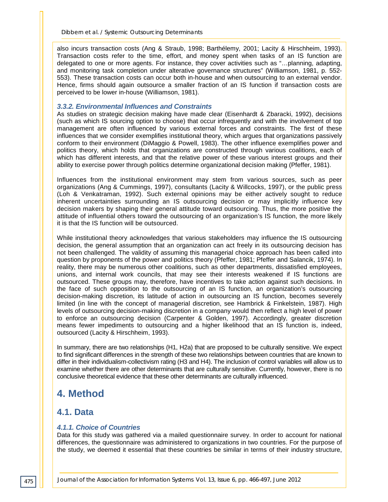also incurs transaction costs (Ang & Straub, 1998; Barthélemy, 2001; Lacity & Hirschheim, 1993). Transaction costs refer to the time, effort, and money spent when tasks of an IS function are delegated to one or more agents. For instance, they cover activities such as "…planning, adapting, and monitoring task completion under alterative governance structures" (Williamson, 1981, p. 552- 553). These transaction costs can occur both in-house and when outsourcing to an external vendor. Hence, firms should again outsource a smaller fraction of an IS function if transaction costs are perceived to be lower in-house (Williamson, 1981).

### *3.3.2. Environmental Influences and Constraints*

As studies on strategic decision making have made clear (Eisenhardt & Zbaracki, 1992), decisions (such as which IS sourcing option to choose) that occur infrequently and with the involvement of top management are often influenced by various external forces and constraints. The first of these influences that we consider exemplifies institutional theory, which argues that organizations passively conform to their environment (DiMaggio & Powell, 1983). The other influence exemplifies power and politics theory, which holds that organizations are constructed through various coalitions, each of which has different interests, and that the relative power of these various interest groups and their ability to exercise power through politics determine organizational decision making (Pfeffer, 1981).

Influences from the institutional environment may stem from various sources, such as peer organizations (Ang & Cummings, 1997), consultants (Lacity & Willcocks, 1997), or the public press (Loh & Venkatraman, 1992). Such external opinions may be either actively sought to reduce inherent uncertainties surrounding an IS outsourcing decision or may implicitly influence key decision makers by shaping their general attitude toward outsourcing. Thus, the more positive the attitude of influential others toward the outsourcing of an organization's IS function, the more likely it is that the IS function will be outsourced.

While institutional theory acknowledges that various stakeholders may influence the IS outsourcing decision, the general assumption that an organization can act freely in its outsourcing decision has not been challenged. The validity of assuming this managerial choice approach has been called into question by proponents of the power and politics theory (Pfeffer, 1981; Pfeffer and Salancik, 1974). In reality, there may be numerous other coalitions, such as other departments, dissatisfied employees, unions, and internal work councils, that may see their interests weakened if IS functions are outsourced. These groups may, therefore, have incentives to take action against such decisions. In the face of such opposition to the outsourcing of an IS function, an organization's outsourcing decision-making discretion, its latitude of action in outsourcing an IS function, becomes severely limited (in line with the concept of managerial discretion, see Hambrick & Finkelstein, 1987). High levels of outsourcing decision-making discretion in a company would then reflect a high level of power to enforce an outsourcing decision (Carpenter & Golden, 1997). Accordingly, greater discretion means fewer impediments to outsourcing and a higher likelihood that an IS function is, indeed, outsourced (Lacity & Hirschheim, 1993).

In summary, there are two relationships (H1, H2a) that are proposed to be culturally sensitive. We expect to find significant differences in the strength of these two relationships between countries that are known to differ in their individualism-collectivism rating (H3 and H4). The inclusion of control variables will allow us to examine whether there are other determinants that are culturally sensitive. Currently, however, there is no conclusive theoretical evidence that these other determinants are culturally influenced.

# **4. Method**

# **4.1. Data**

### *4.1.1. Choice of Countries*

Data for this study was gathered via a mailed questionnaire survey. In order to account for national differences, the questionnaire was administered to organizations in two countries. For the purpose of the study, we deemed it essential that these countries be similar in terms of their industry structure,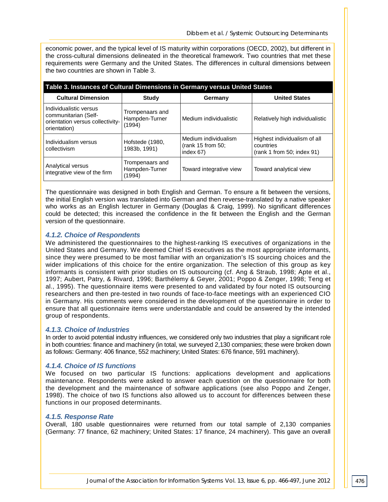economic power, and the typical level of IS maturity within corporations (OECD, 2002), but different in the cross-cultural dimensions delineated in the theoretical framework. Two countries that met these requirements were Germany and the United States. The differences in cultural dimensions between the two countries are shown in Table 3.

| Table 3. Instances of Cultural Dimensions in Germany versus United States                          |                                             |                                                           |                                                                         |  |  |  |  |  |
|----------------------------------------------------------------------------------------------------|---------------------------------------------|-----------------------------------------------------------|-------------------------------------------------------------------------|--|--|--|--|--|
| <b>Cultural Dimension</b>                                                                          | Study                                       | Germany                                                   | <b>United States</b>                                                    |  |  |  |  |  |
| Individualistic versus<br>communitarian (Self-<br>orientation versus collectivity-<br>orientation) | Trompenaars and<br>Hampden-Turner<br>(1994) | Medium individualistic                                    | Relatively high individualistic                                         |  |  |  |  |  |
| Individualism versus<br>collectivism                                                               | Hofstede (1980,<br>1983b, 1991)             | Medium individualism<br>(rank 15 from 50;<br>index $67$ ) | Highest individualism of all<br>countries<br>(rank 1 from 50; index 91) |  |  |  |  |  |
| Analytical versus<br>integrative view of the firm                                                  | Trompenaars and<br>Hampden-Turner<br>(1994) | Toward integrative view                                   | Toward analytical view                                                  |  |  |  |  |  |

The questionnaire was designed in both English and German. To ensure a fit between the versions, the initial English version was translated into German and then reverse-translated by a native speaker who works as an English lecturer in Germany (Douglas & Craig, 1999). No significant differences could be detected; this increased the confidence in the fit between the English and the German version of the questionnaire.

### *4.1.2. Choice of Respondents*

We administered the questionnaires to the highest-ranking IS executives of organizations in the United States and Germany. We deemed Chief IS executives as the most appropriate informants, since they were presumed to be most familiar with an organization's IS sourcing choices and the wider implications of this choice for the entire organization. The selection of this group as key informants is consistent with prior studies on IS outsourcing (cf. Ang & Straub, 1998; Apte et al., 1997; Aubert, Patry, & Rivard, 1996; Barthélemy & Geyer, 2001; Poppo & Zenger, 1998; Teng et al., 1995). The questionnaire items were presented to and validated by four noted IS outsourcing researchers and then pre-tested in two rounds of face-to-face meetings with an experienced CIO in Germany. His comments were considered in the development of the questionnaire in order to ensure that all questionnaire items were understandable and could be answered by the intended group of respondents.

### *4.1.3. Choice of Industries*

In order to avoid potential industry influences, we considered only two industries that play a significant role in both countries: finance and machinery (in total, we surveyed 2,130 companies; these were broken down as follows: Germany: 406 finance, 552 machinery; United States: 676 finance, 591 machinery).

### *4.1.4. Choice of IS functions*

We focused on two particular IS functions: applications development and applications maintenance. Respondents were asked to answer each question on the questionnaire for both the development and the maintenance of software applications (see also Poppo and Zenger, 1998). The choice of two IS functions also allowed us to account for differences between these functions in our proposed determinants.

### *4.1.5. Response Rate*

Overall, 180 usable questionnaires were returned from our total sample of 2,130 companies (Germany: 77 finance, 62 machinery; United States: 17 finance, 24 machinery). This gave an overall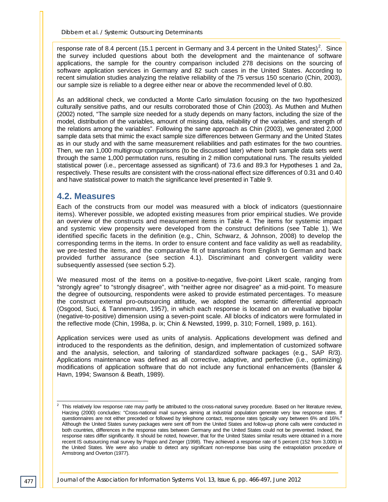response rate of 8.4 percent (15.1 percent in Germany and 3.4 percent in the United States)<sup>[2](#page-12-0)</sup>. Since the survey included questions about both the development and the maintenance of software applications, the sample for the country comparison included 278 decisions on the sourcing of software application services in Germany and 82 such cases in the United States. According to recent simulation studies analyzing the relative reliability of the 75 versus 150 scenario (Chin, 2003), our sample size is reliable to a degree either near or above the recommended level of 0.80.

As an additional check, we conducted a Monte Carlo simulation focusing on the two hypothesized culturally sensitive paths, and our results corroborated those of Chin (2003). As Muthen and Muthen (2002) noted, "The sample size needed for a study depends on many factors, including the size of the model, distribution of the variables, amount of missing data, reliability of the variables, and strength of the relations among the variables". Following the same approach as Chin (2003), we generated 2,000 sample data sets that mimic the exact sample size differences between Germany and the United States as in our study and with the same measurement reliabilities and path estimates for the two countries. Then, we ran 1,000 multigroup comparisons (to be discussed later) where both sample data sets went through the same 1,000 permutation runs, resulting in 2 million computational runs. The results yielded statistical power (i.e., percentage assessed as significant) of 73.6 and 89.3 for Hypotheses 1 and 2a, respectively. These results are consistent with the cross-national effect size differences of 0.31 and 0.40 and have statistical power to match the significance level presented in Table 9.

# **4.2. Measures**

Each of the constructs from our model was measured with a block of indicators (questionnaire items). Wherever possible, we adopted existing measures from prior empirical studies. We provide an overview of the constructs and measurement items in Table 4. The items for systemic impact and systemic view propensity were developed from the construct definitions (see Table 1). We identified specific facets in the definition (e.g., Chin, Schwarz, & Johnson, 2008) to develop the corresponding terms in the items. In order to ensure content and face validity as well as readability, we pre-tested the items, and the comparative fit of translations from English to German and back provided further assurance (see section 4.1). Discriminant and convergent validity were subsequently assessed (see section 5.2).

We measured most of the items on a positive-to-negative, five-point Likert scale, ranging from "strongly agree" to "strongly disagree", with "neither agree nor disagree" as a mid-point. To measure the degree of outsourcing, respondents were asked to provide estimated percentages. To measure the construct external pro-outsourcing attitude, we adopted the semantic differential approach (Osgood, Suci, & Tannenmann, 1957), in which each response is located on an evaluative bipolar (negative-to-positive) dimension using a seven-point scale. All blocks of indicators were formulated in the reflective mode (Chin, 1998a, p. ix; Chin & Newsted, 1999, p. 310; Fornell, 1989, p. 161).

Application services were used as units of analysis. Applications development was defined and introduced to the respondents as the definition, design, and implementation of customized software and the analysis, selection, and tailoring of standardized software packages (e.g., SAP R/3). Applications maintenance was defined as all corrective, adaptive, and perfective (i.e., optimizing) modifications of application software that do not include any functional enhancements (Bansler & Havn, 1994; Swanson & Beath, 1989).

<span id="page-12-0"></span> $2$  This relatively low response rate may partly be attributed to the cross-national survey procedure. Based on her literature review, Harzing (2000) concludes: "Cross-national mail surveys aiming at industrial population generate very low response rates. If questionnaires are not either preceded or followed by telephone contact, response rates typically vary between 6% and 16%." Although the United States survey packages were sent off from the United States and follow-up phone calls were conducted in both countries, differences in the response rates between Germany and the United States could not be prevented. Indeed, the response rates differ significantly. It should be noted, however, that for the United States similar results were obtained in a more recent IS outsourcing mail survey by Poppo and Zenger (1998). They achieved a response rate of 5 percent (152 from 3,000) in the United States. We were also unable to detect any significant non-response bias using the extrapolation procedure of Armstrong and Overton (1977).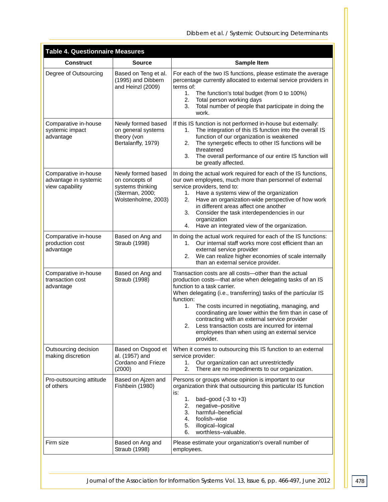| <b>Table 4. Questionnaire Measures</b>                           |                                                                                                    |                                                                                                                                                                                                                                                                                                                                                                                                                                                                                                                                 |
|------------------------------------------------------------------|----------------------------------------------------------------------------------------------------|---------------------------------------------------------------------------------------------------------------------------------------------------------------------------------------------------------------------------------------------------------------------------------------------------------------------------------------------------------------------------------------------------------------------------------------------------------------------------------------------------------------------------------|
| <b>Construct</b>                                                 | <b>Source</b>                                                                                      | Sample Item                                                                                                                                                                                                                                                                                                                                                                                                                                                                                                                     |
| Degree of Outsourcing                                            | Based on Teng et al.<br>(1995) and Dibbern<br>and Heinzl (2009)                                    | For each of the two IS functions, please estimate the average<br>percentage currently allocated to external service providers in<br>terms of:<br>The function's total budget (from 0 to 100%)<br>1.<br>2.<br>Total person working days<br>Total number of people that participate in doing the<br>3.<br>work.                                                                                                                                                                                                                   |
| Comparative in-house<br>systemic impact<br>advantage             | Newly formed based<br>on general systems<br>theory (von<br>Bertalanffy, 1979)                      | If this IS function is not performed in-house but externally:<br>The integration of this IS function into the overall IS<br>1.<br>function of our organization is weakened<br>The synergetic effects to other IS functions will be<br>2.<br>threatened<br>3.<br>The overall performance of our entire IS function will<br>be greatly affected.                                                                                                                                                                                  |
| Comparative in-house<br>advantage in systemic<br>view capability | Newly formed based<br>on concepts of<br>systems thinking<br>(Sterman, 2000;<br>Wolstenholme, 2003) | In doing the actual work required for each of the IS functions,<br>our own employees, much more than personnel of external<br>service providers, tend to:<br>Have a systems view of the organization<br>1.<br>Have an organization-wide perspective of how work<br>2.<br>in different areas affect one another<br>Consider the task interdependencies in our<br>3.<br>organization<br>Have an integrated view of the organization.<br>4.                                                                                        |
| Comparative in-house<br>production cost<br>advantage             | Based on Ang and<br>Straub (1998)                                                                  | In doing the actual work required for each of the IS functions:<br>Our internal staff works more cost efficient than an<br>$1_{-}$<br>external service provider<br>We can realize higher economies of scale internally<br>2.<br>than an external service provider.                                                                                                                                                                                                                                                              |
| Comparative in-house<br>transaction cost<br>advantage            | Based on Ang and<br>Straub (1998)                                                                  | Transaction costs are all costs-other than the actual<br>production costs-that arise when delegating tasks of an IS<br>function to a task carrier.<br>When delegating (i.e., transferring) tasks of the particular IS<br>function:<br>1.<br>The costs incurred in negotiating, managing, and<br>coordinating are lower within the firm than in case of<br>contracting with an external service provider<br>2.<br>Less transaction costs are incurred for internal<br>employees than when using an external service<br>provider. |
| Outsourcing decision<br>making discretion                        | Based on Osgood et<br>al. (1957) and<br>Cordano and Frieze<br>(2000)                               | When it comes to outsourcing this IS function to an external<br>service provider:<br>Our organization can act unrestrictedly<br>1.<br>There are no impediments to our organization.<br>2.                                                                                                                                                                                                                                                                                                                                       |
| Pro-outsourcing attitude<br>of others                            | Based on Ajzen and<br>Fishbein (1980)                                                              | Persons or groups whose opinion is important to our<br>organization think that outsourcing this particular IS function<br>is:<br>bad-good $(-3$ to $+3)$<br>1.<br>2.<br>negative-positive<br>harmful-beneficial<br>3.<br>foolish-wise<br>4.<br>5.<br>illogical-logical<br>worthless-valuable.<br>6.                                                                                                                                                                                                                             |
| Firm size                                                        | Based on Ang and<br>Straub (1998)                                                                  | Please estimate your organization's overall number of<br>employees.                                                                                                                                                                                                                                                                                                                                                                                                                                                             |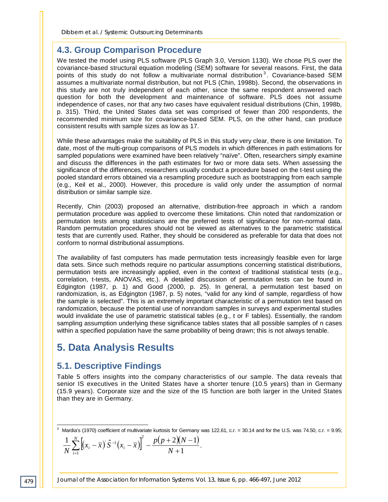# **4.3. Group Comparison Procedure**

We tested the model using PLS software (PLS Graph 3.0, Version 1130). We chose PLS over the covariance-based structural equation modeling (SEM) software for several reasons. First, the data points of this study do not follow a multivariate normal distribution<sup>[3](#page-14-0)</sup>. Covariance-based SEM assumes a multivariate normal distribution, but not PLS (Chin, 1998b). Second, the observations in this study are not truly independent of each other, since the same respondent answered each question for both the development and maintenance of software. PLS does not assume independence of cases, nor that any two cases have equivalent residual distributions (Chin, 1998b, p. 315). Third, the United States data set was comprised of fewer than 200 respondents, the recommended minimum size for covariance-based SEM. PLS, on the other hand, can produce consistent results with sample sizes as low as 17.

While these advantages make the suitability of PLS in this study very clear, there is one limitation. To date, most of the multi-group comparisons of PLS models in which differences in path estimations for sampled populations were examined have been relatively "naïve". Often, researchers simply examine and discuss the differences in the path estimates for two or more data sets. When assessing the significance of the differences, researchers usually conduct a procedure based on the t-test using the pooled standard errors obtained via a resampling procedure such as bootstrapping from each sample (e.g., Keil et al., 2000). However, this procedure is valid only under the assumption of normal distribution or similar sample size.

Recently, Chin (2003) proposed an alternative, distribution-free approach in which a random permutation procedure was applied to overcome these limitations. Chin noted that randomization or permutation tests among statisticians are the preferred tests of significance for non-normal data. Random permutation procedures should not be viewed as alternatives to the parametric statistical tests that are currently used. Rather, they should be considered as preferable for data that does not conform to normal distributional assumptions.

The availability of fast computers has made permutation tests increasingly feasible even for large data sets. Since such methods require no particular assumptions concerning statistical distributions, permutation tests are increasingly applied, even in the context of traditional statistical tests (e.g., correlation, t-tests, ANOVAS, etc.). A detailed discussion of permutation tests can be found in Edgington (1987, p. 1) and Good (2000, p. 25). In general, a permutation test based on randomization, is, as Edgington (1987, p. 5) notes, "valid for any kind of sample, regardless of how the sample is selected". This is an extremely important characteristic of a permutation test based on randomization, because the potential use of nonrandom samples in surveys and experimental studies would invalidate the use of parametric statistical tables (e.g., t or F tables). Essentially, the random sampling assumption underlying these significance tables states that all possible samples of n cases within a specified population have the same probability of being drawn; this is not always tenable.

# **5. Data Analysis Results**

# **5.1. Descriptive Findings**

Table 5 offers insights into the company characteristics of our sample. The data reveals that senior IS executives in the United States have a shorter tenure (10.5 years) than in Germany (15.9 years). Corporate size and the size of the IS function are both larger in the United States than they are in Germany.

$$
\frac{1}{N}\sum_{i=1}^{N} \left[ \left( x_i - \overline{x} \right) \hat{S}^{-1} \left( x_i - \overline{x} \right) \right]^2 - \frac{p(p+2)(N-1)}{N+1}.
$$

*Journal of the Association for Information Systems Vol. 13, Issue 6, pp. 466-497, June 2012*

<span id="page-14-0"></span> $3$  Mardia's (1970) coefficient of multivariate kurtosis for Germany was 122.61, c.r. = 30.14 and for the U.S. was 74.50, c.r. = 9.95;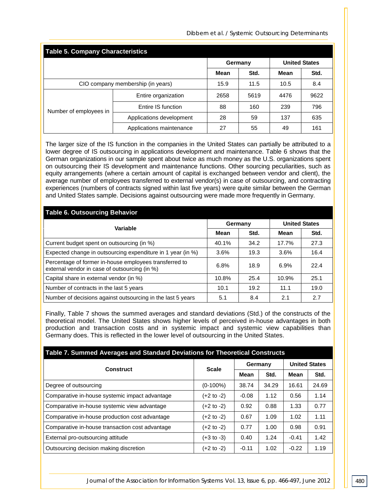*Dibbern et al. / Systemic Outsourcing Determinants*

| <b>Table 5. Company Characteristics</b> |                                   |                                                                         |                     |      |      |  |  |  |
|-----------------------------------------|-----------------------------------|-------------------------------------------------------------------------|---------------------|------|------|--|--|--|
|                                         |                                   | Germany                                                                 |                     |      |      |  |  |  |
|                                         |                                   | Mean                                                                    | Std.                | Mean | Std. |  |  |  |
|                                         | CIO company membership (in years) | 15.9                                                                    | 11.5<br>8.4<br>10.5 |      |      |  |  |  |
|                                         | Entire organization               | 2658                                                                    | 5619                | 4476 | 9622 |  |  |  |
| Number of employees in                  | Entire IS function                | 88                                                                      | 160                 | 239  | 796  |  |  |  |
|                                         | Applications development          | <b>United States</b><br>28<br>635<br>59<br>137<br>27<br>55<br>49<br>161 |                     |      |      |  |  |  |
|                                         | Applications maintenance          |                                                                         |                     |      |      |  |  |  |

The larger size of the IS function in the companies in the United States can partially be attributed to a lower degree of IS outsourcing in applications development and maintenance. Table 6 shows that the German organizations in our sample spent about twice as much money as the U.S. organizations spent on outsourcing their IS development and maintenance functions. Other sourcing peculiarities, such as equity arrangements (where a certain amount of capital is exchanged between vendor and client), the average number of employees transferred to external vendor(s) in case of outsourcing, and contracting experiences (numbers of contracts signed within last five years) were quite similar between the German and United States sample. Decisions against outsourcing were made more frequently in Germany.

| <b>Table 6. Outsourcing Behavior</b>                                                                    |         |      |                      |      |  |  |  |  |
|---------------------------------------------------------------------------------------------------------|---------|------|----------------------|------|--|--|--|--|
| Variable                                                                                                | Germany |      | <b>United States</b> |      |  |  |  |  |
|                                                                                                         | Mean    | Std. | Mean                 | Std. |  |  |  |  |
| Current budget spent on outsourcing (in %)                                                              | 40.1%   | 34.2 | 17.7%                | 27.3 |  |  |  |  |
| Expected change in outsourcing expenditure in 1 year (in %)                                             | 3.6%    | 19.3 | 3.6%                 | 16.4 |  |  |  |  |
| Percentage of former in-house employees transferred to<br>external vendor in case of outsourcing (in %) | 6.8%    | 18.9 | 6.9%                 | 22.4 |  |  |  |  |
| Capital share in external vendor (in %)                                                                 | 10.8%   | 25.4 | 10.9%                | 25.1 |  |  |  |  |
| Number of contracts in the last 5 years                                                                 | 10.1    | 19.2 | 11.1                 | 19.0 |  |  |  |  |
| Number of decisions against outsourcing in the last 5 years                                             | 5.1     | 8.4  | 2.1                  | 2.7  |  |  |  |  |

Finally, Table 7 shows the summed averages and standard deviations (Std.) of the constructs of the theoretical model. The United States shows higher levels of perceived in-house advantages in both production and transaction costs and in systemic impact and systemic view capabilities than Germany does. This is reflected in the lower level of outsourcing in the United States.

| Construct                                       | <b>Scale</b>          |             | Germany | <b>United States</b> |       |
|-------------------------------------------------|-----------------------|-------------|---------|----------------------|-------|
|                                                 |                       | <b>Mean</b> | Std.    | <b>Mean</b>          | Std.  |
| Degree of outsourcing                           | $(0-100\%)$           | 38.74       | 34.29   | 16.61                | 24.69 |
| Comparative in-house systemic impact advantage  | (+2 to -2)            | $-0.08$     | 1.12    | 0.56                 | 1.14  |
| Comparative in-house systemic view advantage    | (+2 to -2)            | 0.92        | 0.88    | 1.33                 | 0.77  |
| Comparative in-house production cost advantage  | $(+2 \text{ to } -2)$ | 0.67        | 1.09    | 1.02                 | 1.11  |
| Comparative in-house transaction cost advantage | (+2 to -2)            | 0.77        | 1.00    | 0.98                 | 0.91  |
| External pro-outsourcing attitude               | $(+3 \text{ to } -3)$ | 0.40        | 1.24    | $-0.41$              | 1.42  |
| Outsourcing decision making discretion          | $(+2 \text{ to } -2)$ | $-0.11$     | 1.02    | $-0.22$              | 1.19  |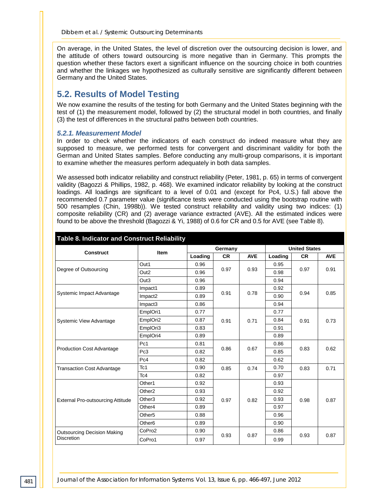On average, in the United States, the level of discretion over the outsourcing decision is lower, and the attitude of others toward outsourcing is more negative than in Germany. This prompts the question whether these factors exert a significant influence on the sourcing choice in both countries and whether the linkages we hypothesized as culturally sensitive are significantly different between Germany and the United States.

# **5.2. Results of Model Testing**

We now examine the results of the testing for both Germany and the United States beginning with the test of (1) the measurement model, followed by (2) the structural model in both countries, and finally (3) the test of differences in the structural paths between both countries.

### *5.2.1. Measurement Model*

In order to check whether the indicators of each construct do indeed measure what they are supposed to measure, we performed tests for convergent and discriminant validity for both the German and United States samples. Before conducting any multi-group comparisons, it is important to examine whether the measures perform adequately in both data samples.

We assessed both indicator reliability and construct reliability (Peter, 1981, p. 65) in terms of convergent validity (Bagozzi & Phillips, 1982, p. 468). We examined indicator reliability by looking at the construct loadings. All loadings are significant to a level of 0.01 and (except for Pc4, U.S.) fall above the recommended 0.7 parameter value (significance tests were conducted using the bootstrap routine with 500 resamples (Chin, 1998b)). We tested construct reliability and validity using two indices: (1) composite reliability (CR) and (2) average variance extracted (AVE). All the estimated indices were found to be above the threshold (Bagozzi & Yi, 1988) of 0.6 for CR and 0.5 for AVE (see Table 8).

| Table 8. Indicator and Construct Reliability |                     |         |           |            |                      |           |            |  |
|----------------------------------------------|---------------------|---------|-----------|------------|----------------------|-----------|------------|--|
| <b>Construct</b>                             | <b>Item</b>         | Germany |           |            | <b>United States</b> |           |            |  |
|                                              |                     | Loading | <b>CR</b> | <b>AVE</b> | Loading              | <b>CR</b> | <b>AVE</b> |  |
|                                              | Out1                | 0.96    |           |            | 0.95                 |           |            |  |
| Degree of Outsourcing                        | Out <sub>2</sub>    | 0.96    | 0.97      | 0.93       | 0.98                 | 0.97      | 0.91       |  |
|                                              | Out <sub>3</sub>    | 0.96    |           |            | 0.94                 |           |            |  |
|                                              | Impact1             | 0.89    |           |            | 0.92                 |           |            |  |
| Systemic Impact Advantage                    | Impact <sub>2</sub> | 0.89    | 0.91      | 0.78       | 0.90                 | 0.94      | 0.85       |  |
|                                              | Impact <sub>3</sub> | 0.86    |           |            | 0.94                 |           |            |  |
|                                              | EmplOri1            | 0.77    |           |            | 0.77                 |           |            |  |
| <b>Systemic View Advantage</b>               | EmplOri2            | 0.87    | 0.91      | 0.71       | 0.84                 | 0.91      | 0.73       |  |
|                                              | EmplOri3            | 0.83    |           |            | 0.91                 |           |            |  |
|                                              | EmplOri4            | 0.89    |           |            | 0.89                 |           |            |  |
| <b>Production Cost Advantage</b>             | Pc1                 | 0.81    | 0.86      | 0.67       | 0.86                 | 0.83      |            |  |
|                                              | Pc3                 | 0.82    |           |            | 0.85                 |           | 0.62       |  |
|                                              | Pc4                 | 0.82    |           |            | 0.62                 |           |            |  |
| <b>Transaction Cost Advantage</b>            | Tc1                 | 0.90    | 0.85      | 0.74       | 0.70                 | 0.83      | 0.71       |  |
|                                              | Tc4                 | 0.82    |           |            | 0.97                 |           |            |  |
|                                              | Other1              | 0.92    |           |            | 0.93                 |           |            |  |
|                                              | Other <sub>2</sub>  | 0.93    |           |            | 0.92                 |           |            |  |
| <b>External Pro-outsourcing Attitude</b>     | Other <sub>3</sub>  | 0.92    | 0.97      | 0.82       | 0.93                 | 0.98      | 0.87       |  |
|                                              | Other4              | 0.89    |           |            | 0.97                 |           |            |  |
|                                              | Other <sub>5</sub>  | 0.88    |           |            | 0.96                 |           |            |  |
|                                              | Other <sub>6</sub>  | 0.89    |           |            | 0.90                 |           |            |  |
| <b>Outsourcing Decision Making</b>           | CoPro2              | 0.90    |           |            | 0.86                 |           |            |  |
| <b>Discretion</b>                            | CoPro1              | 0.97    | 0.93      | 0.87       | 0.99                 | 0.93      | 0.87       |  |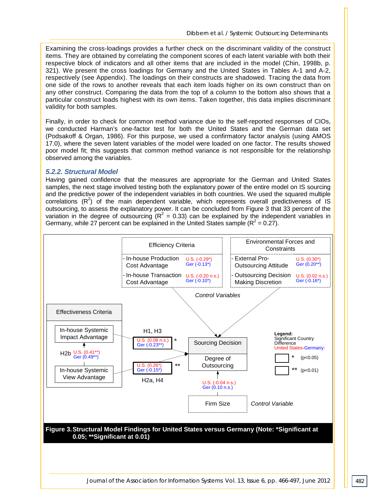Examining the cross-loadings provides a further check on the discriminant validity of the construct items. They are obtained by correlating the component scores of each latent variable with both their respective block of indicators and all other items that are included in the model (Chin, 1998b, p. 321). We present the cross loadings for Germany and the United States in Tables A-1 and A-2, respectively (see Appendix). The loadings on their constructs are shadowed. Tracing the data from one side of the rows to another reveals that each item loads higher on its own construct than on any other construct. Comparing the data from the top of a column to the bottom also shows that a particular construct loads highest with its own items. Taken together, this data implies discriminant validity for both samples.

Finally, in order to check for common method variance due to the self-reported responses of CIOs, we conducted Harman's one-factor test for both the United States and the German data set (Podsakoff & Organ, 1986). For this purpose, we used a confirmatory factor analysis (using AMOS 17.0), where the seven latent variables of the model were loaded on one factor. The results showed poor model fit; this suggests that common method variance is not responsible for the relationship observed among the variables.

### *5.2.2. Structural Model*

Having gained confidence that the measures are appropriate for the German and United States samples, the next stage involved testing both the explanatory power of the entire model on IS sourcing and the predictive power of the independent variables in both countries. We used the squared multiple correlations  $(R^2)$  of the main dependent variable, which represents overall predictiveness of IS outsourcing, to assess the explanatory power. It can be concluded from Figure 3 that 33 percent of the variation in the degree of outsourcing ( $R^2 = 0.33$ ) can be explained by the independent variables in Germany, while 27 percent can be explained in the United States sample ( $R^2$  = 0.27).

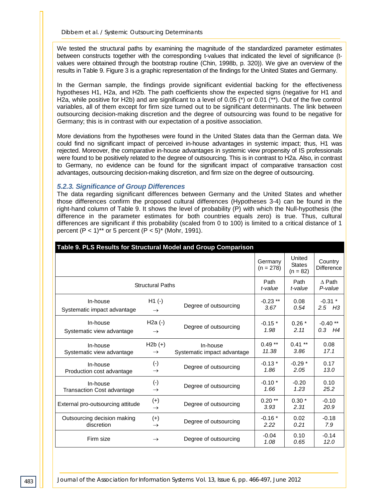We tested the structural paths by examining the magnitude of the standardized parameter estimates between constructs together with the corresponding t-values that indicated the level of significance (tvalues were obtained through the bootstrap routine (Chin, 1998b, p. 320)). We give an overview of the results in Table 9. Figure 3 is a graphic representation of the findings for the United States and Germany.

In the German sample, the findings provide significant evidential backing for the effectiveness hypotheses H1, H2a, and H2b. The path coefficients show the expected signs (negative for H1 and H2a, while positive for H2b) and are significant to a level of 0.05 (\*) or 0.01 (\*\*). Out of the five control variables, all of them except for firm size turned out to be significant determinants. The link between outsourcing decision-making discretion and the degree of outsourcing was found to be negative for Germany; this is in contrast with our expectation of a positive association.

More deviations from the hypotheses were found in the United States data than the German data. We could find no significant impact of perceived in-house advantages in systemic impact; thus, H1 was rejected. Moreover, the comparative in-house advantages in systemic view propensity of IS professionals were found to be positively related to the degree of outsourcing. This is in contrast to H2a. Also, in contrast to Germany, no evidence can be found for the significant impact of comparative transaction cost advantages, outsourcing decision-making discretion, and firm size on the degree of outsourcing.

### *5.2.3. Significance of Group Differences*

The data regarding significant differences between Germany and the United States and whether those differences confirm the proposed cultural differences (Hypotheses 3-4) can be found in the right-hand column of Table 9. It shows the level of probability (P) with which the Null-hypothesis (the difference in the parameter estimates for both countries equals zero) is true. Thus, cultural differences are significant if this probability (scaled from 0 to 100) is limited to a critical distance of 1 percent  $(P < 1)$ <sup>\*\*</sup> or 5 percent  $(P < 5)$ <sup>\*</sup> (Mohr, 1991).

| Table 9. PLS Results for Structural Model and Group Comparison |                        |                             |                        |                                       |                              |
|----------------------------------------------------------------|------------------------|-----------------------------|------------------------|---------------------------------------|------------------------------|
|                                                                |                        |                             | Germany<br>$(n = 278)$ | United<br><b>States</b><br>$(n = 82)$ | Country<br><b>Difference</b> |
| <b>Structural Paths</b>                                        | Path                   | Path                        | $\triangle$ Path       |                                       |                              |
|                                                                | t-value                | t-value                     | P-value                |                                       |                              |
| In-house                                                       | $H1(-)$                | Degree of outsourcing       | $-0.23$ **             | 0.08                                  | $-0.31$ *                    |
| Systematic impact advantage                                    | $\rightarrow$          |                             | 3.67                   | 0.54                                  | $2.5$ H <sub>3</sub>         |
| In-house                                                       | $H2a$ $(-)$            | Degree of outsourcing       | $-0.15*$               | $0.26*$                               | $-0.40**$                    |
| Systematic view advantage                                      | $\rightarrow$          |                             | 1.98                   | 2.11                                  | $0.3$ H4                     |
| In-house                                                       | $H2b (+)$              | In-house                    | $0.49**$               | $0.41**$                              | 0.08                         |
| Systematic view advantage                                      | $\rightarrow$          | Systematic impact advantage | 11.38                  | 3.86                                  | 17.1                         |
| In-house                                                       | $(\cdot)$              | Degree of outsourcing       | $-0.13*$               | $-0.29*$                              | 0.17                         |
| Production cost advantage                                      | $\rightarrow$          |                             | 1.86                   | 2.05                                  | 13.0                         |
| In-house                                                       | $(\cdot)$              | Degree of outsourcing       | $-0.10*$               | $-0.20$                               | 0.10                         |
| <b>Transaction Cost advantage</b>                              | $\rightarrow$          |                             | 1.66                   | 1.23                                  | 25.2                         |
| External pro-outsourcing attitude                              | $(+)$<br>$\rightarrow$ | Degree of outsourcing       | $0.20**$<br>3.93       | $0.30*$<br>2.31                       | $-0.10$<br>20.9              |
| Outsourcing decision making                                    | $(+)$                  | Degree of outsourcing       | $-0.16*$               | 0.02                                  | $-0.18$                      |
| discretion                                                     | $\rightarrow$          |                             | 2.22                   | 0.21                                  | 7.9                          |
| Firm size                                                      | $\rightarrow$          | Degree of outsourcing       | $-0.04$<br>1.08        | 0.10<br>0.65                          | $-0.14$<br>12.0              |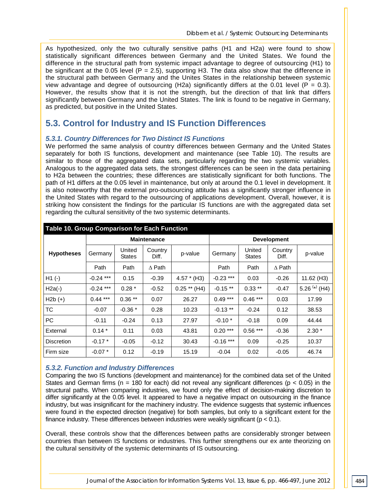As hypothesized, only the two culturally sensitive paths (H1 and H2a) were found to show statistically significant differences between Germany and the United States. We found the difference in the structural path from systemic impact advantage to degree of outsourcing (H1) to be significant at the 0.05 level ( $P = 2.5$ ), supporting H3. The data also show that the difference in the structural path between Germany and the Unites States in the relationship between systemic view advantage and degree of outsourcing (H2a) significantly differs at the 0.01 level ( $P = 0.3$ ). However, the results show that it is not the strength, but the direction of that link that differs significantly between Germany and the United States. The link is found to be negative in Germany, as predicted, but positive in the United States.

# **5.3. Control for Industry and IS Function Differences**

### *5.3.1. Country Differences for Two Distinct IS Functions*

We performed the same analysis of country differences between Germany and the United States separately for both IS functions, development and maintenance (see Table 10). The results are similar to those of the aggregated data sets, particularly regarding the two systemic variables. Analogous to the aggregated data sets, the strongest differences can be seen in the data pertaining to H2a between the countries; these differences are statistically significant for both functions. The path of H1 differs at the 0.05 level in maintenance, but only at around the 0.1 level in development. It is also noteworthy that the external pro-outsourcing attitude has a significantly stronger influence in the United States with regard to the outsourcing of applications development. Overall, however, it is striking how consistent the findings for the particular IS functions are with the aggregated data set regarding the cultural sensitivity of the two systemic determinants.

| Table 10. Group Comparison for Each Function |             |                         |                    |                |                    |                         |                  |               |  |  |
|----------------------------------------------|-------------|-------------------------|--------------------|----------------|--------------------|-------------------------|------------------|---------------|--|--|
|                                              |             |                         | <b>Maintenance</b> |                | <b>Development</b> |                         |                  |               |  |  |
| <b>Hypotheses</b>                            | Germany     | United<br><b>States</b> | Country<br>Diff.   | p-value        | Germany            | United<br><b>States</b> | Country<br>Diff. | p-value       |  |  |
|                                              | Path        | Path                    | $\Delta$ Path      |                | Path               | Path                    | $\Delta$ Path    |               |  |  |
| $H1(-)$                                      | $-0.24$ *** | 0.15                    | $-0.39$            | $4.57 * (H3)$  | $-0.23$ ***        | 0.03                    | $-0.26$          | 11.62 (H3)    |  |  |
| $H2a(-)$                                     | $-0.24$ *** | $0.28*$                 | $-0.52$            | $0.25$ ** (H4) | $-0.15**$          | $0.33***$               | $-0.47$          | 5.26 (*) (H4) |  |  |
| $H2b (+)$                                    | $0.44***$   | $0.36**$                | 0.07               | 26.27          | $0.49***$          | $0.46***$               | 0.03             | 17.99         |  |  |
| TC                                           | $-0.07$     | $-0.36*$                | 0.28               | 10.23          | $-0.13$ **         | $-0.24$                 | 0.12             | 38.53         |  |  |
| PC                                           | $-0.11$     | $-0.24$                 | 0.13               | 27.97          | $-0.10*$           | $-0.18$                 | 0.09             | 44.44         |  |  |
| External                                     | $0.14*$     | 0.11                    | 0.03               | 43.81          | $0.20***$          | $0.56***$               | $-0.36$          | $2.30*$       |  |  |
| <b>Discretion</b>                            | $-0.17*$    | $-0.05$                 | $-0.12$            | 30.43          | $-0.16$ ***        | 0.09                    | $-0.25$          | 10.37         |  |  |
| Firm size                                    | $-0.07*$    | 0.12                    | $-0.19$            | 15.19          | $-0.04$            | 0.02                    | $-0.05$          | 46.74         |  |  |

### *5.3.2. Function and Industry Differences*

Comparing the two IS functions (development and maintenance) for the combined data set of the United States and German firms ( $n = 180$  for each) did not reveal any significant differences ( $p < 0.05$ ) in the structural paths. When comparing industries, we found only the effect of decision-making discretion to differ significantly at the 0.05 level. It appeared to have a negative impact on outsourcing in the finance industry, but was insignificant for the machinery industry. The evidence suggests that systemic influences were found in the expected direction (negative) for both samples, but only to a significant extent for the finance industry. These differences between industries were weakly significant ( $p < 0.1$ ).

Overall, these controls show that the differences between paths are considerably stronger between countries than between IS functions or industries. This further strengthens our ex ante theorizing on the cultural sensitivity of the systemic determinants of IS outsourcing.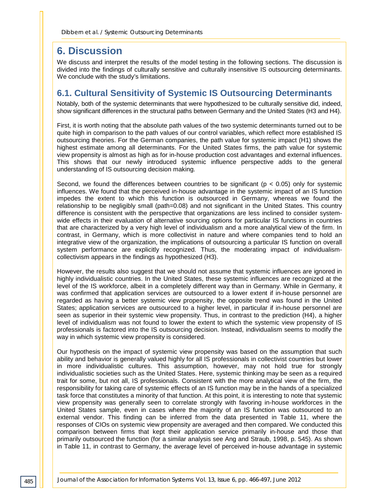# **6. Discussion**

We discuss and interpret the results of the model testing in the following sections. The discussion is divided into the findings of culturally sensitive and culturally insensitive IS outsourcing determinants. We conclude with the study's limitations.

# **6.1. Cultural Sensitivity of Systemic IS Outsourcing Determinants**

Notably, both of the systemic determinants that were hypothesized to be culturally sensitive did, indeed, show significant differences in the structural paths between Germany and the United States (H3 and H4).

First, it is worth noting that the absolute path values of the two systemic determinants turned out to be quite high in comparison to the path values of our control variables, which reflect more established IS outsourcing theories. For the German companies, the path value for systemic impact (H1) shows the highest estimate among all determinants. For the United States firms, the path value for systemic view propensity is almost as high as for in-house production cost advantages and external influences. This shows that our newly introduced systemic influence perspective adds to the general understanding of IS outsourcing decision making.

Second, we found the differences between countries to be significant ( $p < 0.05$ ) only for systemic influences. We found that the perceived in-house advantage in the systemic impact of an IS function impedes the extent to which this function is outsourced in Germany, whereas we found the relationship to be negligibly small (path=0.08) and not significant in the United States. This country difference is consistent with the perspective that organizations are less inclined to consider systemwide effects in their evaluation of alternative sourcing options for particular IS functions in countries that are characterized by a very high level of individualism and a more analytical view of the firm. In contrast, in Germany, which is more collectivist in nature and where companies tend to hold an integrative view of the organization, the implications of outsourcing a particular IS function on overall system performance are explicitly recognized. Thus, the moderating impact of individualismcollectivism appears in the findings as hypothesized (H3).

However, the results also suggest that we should not assume that systemic influences are ignored in highly individualistic countries. In the United States, these systemic influences are recognized at the level of the IS workforce, albeit in a completely different way than in Germany. While in Germany, it was confirmed that application services are outsourced to a lower extent if in-house personnel are regarded as having a better systemic view propensity, the opposite trend was found in the United States; application services are outsourced to a higher level, in particular if in-house personnel are seen as superior in their systemic view propensity. Thus, in contrast to the prediction (H4), a higher level of individualism was not found to lower the extent to which the systemic view propensity of IS professionals is factored into the IS outsourcing decision. Instead, individualism seems to modify the way in which systemic view propensity is considered.

Our hypothesis on the impact of systemic view propensity was based on the assumption that such ability and behavior is generally valued highly for all IS professionals in collectivist countries but lower in more individualistic cultures. This assumption, however, may not hold true for strongly individualistic societies such as the United States. Here, systemic thinking may be seen as a required trait for some, but not all, IS professionals. Consistent with the more analytical view of the firm, the responsibility for taking care of systemic effects of an IS function may be in the hands of a specialized task force that constitutes a minority of that function. At this point, it is interesting to note that systemic view propensity was generally seen to correlate strongly with favoring in-house workforces in the United States sample, even in cases where the majority of an IS function was outsourced to an external vendor. This finding can be inferred from the data presented in Table 11, where the responses of CIOs on systemic view propensity are averaged and then compared. We conducted this comparison between firms that kept their application service primarily in-house and those that primarily outsourced the function (for a similar analysis see Ang and Straub, 1998, p. 545). As shown in Table 11, in contrast to Germany, the average level of perceived in-house advantage in systemic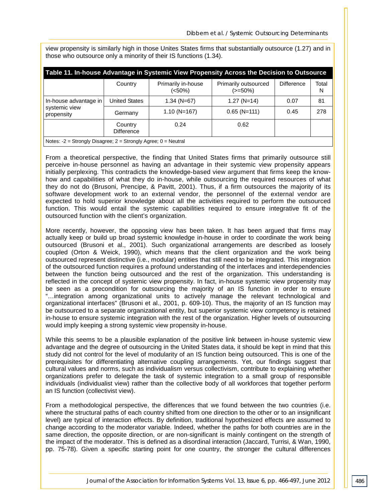view propensity is similarly high in those Unites States firms that substantially outsource (1.27) and in those who outsource only a minority of their IS functions (1.34).

| Table 11. In-house Advantage in Systemic View Propensity Across the Decision to Outsource |                              |                              |                                    |                   |            |  |  |  |
|-------------------------------------------------------------------------------------------|------------------------------|------------------------------|------------------------------------|-------------------|------------|--|--|--|
|                                                                                           | Country                      | Primarily in-house<br>(<50%) | Primarily outsourced<br>$(>=50\%)$ | <b>Difference</b> | Total<br>N |  |  |  |
| In-house advantage in                                                                     | <b>United States</b>         | $1.34$ (N=67)                | $1.27$ (N=14)                      | 0.07              | 81         |  |  |  |
| systemic view<br>propensity                                                               | Germany                      | $1.10$ (N=167)               | $0.65$ (N=111)                     | 0.45              | 278        |  |  |  |
|                                                                                           | Country<br><b>Difference</b> | 0.24                         | 0.62                               |                   |            |  |  |  |
| Notes: $-2$ = Strongly Disagree; $2$ = Strongly Agree; $0$ = Neutral                      |                              |                              |                                    |                   |            |  |  |  |

From a theoretical perspective, the finding that United States firms that primarily outsource still perceive in-house personnel as having an advantage in their systemic view propensity appears initially perplexing. This contradicts the knowledge-based view argument that firms keep the knowhow and capabilities of what they do in-house, while outsourcing the required resources of what they do not do (Brusoni, Prencipe, & Pavitt, 2001). Thus, if a firm outsources the majority of its software development work to an external vendor, the personnel of the external vendor are expected to hold superior knowledge about all the activities required to perform the outsourced function. This would entail the systemic capabilities required to ensure integrative fit of the outsourced function with the client's organization.

More recently, however, the opposing view has been taken. It has been argued that firms may actually keep or build up broad systemic knowledge in-house in order to coordinate the work being outsourced (Brusoni et al., 2001). Such organizational arrangements are described as loosely coupled (Orton & Weick, 1990), which means that the client organization and the work being outsourced represent distinctive (i.e., modular) entities that still need to be integrated. This integration of the outsourced function requires a profound understanding of the interfaces and interdependencies between the function being outsourced and the rest of the organization. This understanding is reflected in the concept of systemic view propensity. In fact, in-house systemic view propensity may be seen as a precondition for outsourcing the majority of an IS function in order to ensure "…integration among organizational units to actively manage the relevant technological and organizational interfaces" (Brusoni et al., 2001, p. 609-10). Thus, the majority of an IS function may be outsourced to a separate organizational entity, but superior systemic view competency is retained in-house to ensure systemic integration with the rest of the organization. Higher levels of outsourcing would imply keeping a strong systemic view propensity in-house.

While this seems to be a plausible explanation of the positive link between in-house systemic view advantage and the degree of outsourcing in the United States data, it should be kept in mind that this study did not control for the level of modularity of an IS function being outsourced. This is one of the prerequisites for differentiating alternative coupling arrangements. Yet, our findings suggest that cultural values and norms, such as individualism versus collectivism, contribute to explaining whether organizations prefer to delegate the task of systemic integration to a small group of responsible individuals (individualist view) rather than the collective body of all workforces that together perform an IS function (collectivist view).

From a methodological perspective, the differences that we found between the two countries (i.e. where the structural paths of each country shifted from one direction to the other or to an insignificant level) are typical of interaction effects. By definition, traditional hypothesized effects are assumed to change according to the moderator variable. Indeed, whether the paths for both countries are in the same direction, the opposite direction, or are non-significant is mainly contingent on the strength of the impact of the moderator. This is defined as a disordinal interaction (Jaccard, Turrisi, & Wan, 1990, pp. 75-78). Given a specific starting point for one country, the stronger the cultural differences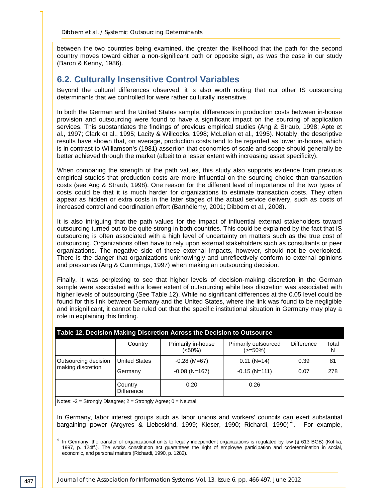between the two countries being examined, the greater the likelihood that the path for the second country moves toward either a non-significant path or opposite sign, as was the case in our study (Baron & Kenny, 1986).

# **6.2. Culturally Insensitive Control Variables**

Beyond the cultural differences observed, it is also worth noting that our other IS outsourcing determinants that we controlled for were rather culturally insensitive.

In both the German and the United States sample, differences in production costs between in-house provision and outsourcing were found to have a significant impact on the sourcing of application services. This substantiates the findings of previous empirical studies (Ang & Straub, 1998; Apte et al., 1997; Clark et al., 1995; Lacity & Willcocks, 1998; McLellan et al., 1995). Notably, the descriptive results have shown that, on average, production costs tend to be regarded as lower in-house, which is in contrast to Williamson's (1981) assertion that economies of scale and scope should generally be better achieved through the market (albeit to a lesser extent with increasing asset specificity).

When comparing the strength of the path values, this study also supports evidence from previous empirical studies that production costs are more influential on the sourcing choice than transaction costs (see Ang & Straub, 1998). One reason for the different level of importance of the two types of costs could be that it is much harder for organizations to estimate transaction costs. They often appear as hidden or extra costs in the later stages of the actual service delivery, such as costs of increased control and coordination effort (Barthélemy, 2001; Dibbern et al., 2008).

It is also intriguing that the path values for the impact of influential external stakeholders toward outsourcing turned out to be quite strong in both countries. This could be explained by the fact that IS outsourcing is often associated with a high level of uncertainty on matters such as the true cost of outsourcing. Organizations often have to rely upon external stakeholders such as consultants or peer organizations. The negative side of these external impacts, however, should not be overlooked. There is the danger that organizations unknowingly and unreflectively conform to external opinions and pressures (Ang & Cummings, 1997) when making an outsourcing decision.

Finally, it was perplexing to see that higher levels of decision-making discretion in the German sample were associated with a lower extent of outsourcing while less discretion was associated with higher levels of outsourcing (See Table 12). While no significant differences at the 0.05 level could be found for this link between Germany and the United States, where the link was found to be negligible and insignificant, it cannot be ruled out that the specific institutional situation in Germany may play a role in explaining this finding.

| Table 12. Decision Making Discretion Across the Decision to Outsource |                              |                                 |                                    |                   |            |  |  |  |
|-----------------------------------------------------------------------|------------------------------|---------------------------------|------------------------------------|-------------------|------------|--|--|--|
|                                                                       | Country                      | Primarily in-house<br>$(<50\%)$ | Primarily outsourced<br>$(>=50\%)$ | <b>Difference</b> | Total<br>N |  |  |  |
| Outsourcing decision<br>making discretion                             | <b>United States</b>         | $-0.28$ (M=67)                  | $0.11$ (N=14)                      | 0.39              | 81         |  |  |  |
|                                                                       | Germany                      | $-0.08$ (N=167)                 | $-0.15$ (N=111)                    | 0.07              | 278        |  |  |  |
|                                                                       | Country<br><b>Difference</b> | 0.20                            | 0.26                               |                   |            |  |  |  |
| Notes: $-2$ = Strongly Disagree; $2$ = Strongly Agree; $0$ = Neutral  |                              |                                 |                                    |                   |            |  |  |  |

In Germany, labor interest groups such as labor unions and workers' councils can exert substantial bargaining power (Argyres & Liebeskind, 1999; Kieser, 1990; Richardi, 1990)<sup>[4](#page-22-0)</sup>. For example,

<span id="page-22-0"></span>In Germany, the transfer of organizational units to legally independent organizations is regulated by law (§ 613 BGB) (Koffka, 1997, p. 124ff.). The works constitution act guarantees the right of employee participation and codetermination in social, economic, and personal matters (Richardi, 1990, p. 1282).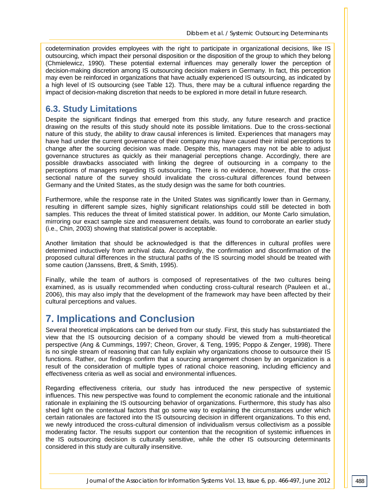codetermination provides employees with the right to participate in organizational decisions, like IS outsourcing, which impact their personal disposition or the disposition of the group to which they belong (Chmielewicz, 1990). These potential external influences may generally lower the perception of decision-making discretion among IS outsourcing decision makers in Germany. In fact, this perception may even be reinforced in organizations that have actually experienced IS outsourcing, as indicated by a high level of IS outsourcing (see Table 12). Thus, there may be a cultural influence regarding the impact of decision-making discretion that needs to be explored in more detail in future research.

# **6.3. Study Limitations**

Despite the significant findings that emerged from this study, any future research and practice drawing on the results of this study should note its possible limitations. Due to the cross-sectional nature of this study, the ability to draw causal inferences is limited. Experiences that managers may have had under the current governance of their company may have caused their initial perceptions to change after the sourcing decision was made. Despite this, managers may not be able to adjust governance structures as quickly as their managerial perceptions change. Accordingly, there are possible drawbacks associated with linking the degree of outsourcing in a company to the perceptions of managers regarding IS outsourcing. There is no evidence, however, that the crosssectional nature of the survey should invalidate the cross-cultural differences found between Germany and the United States, as the study design was the same for both countries.

Furthermore, while the response rate in the United States was significantly lower than in Germany, resulting in different sample sizes, highly significant relationships could still be detected in both samples. This reduces the threat of limited statistical power. In addition, our Monte Carlo simulation, mirroring our exact sample size and measurement details, was found to corroborate an earlier study (i.e., Chin, 2003) showing that statistical power is acceptable.

Another limitation that should be acknowledged is that the differences in cultural profiles were determined inductively from archival data. Accordingly, the confirmation and disconfirmation of the proposed cultural differences in the structural paths of the IS sourcing model should be treated with some caution (Janssens, Brett, & Smith, 1995).

Finally, while the team of authors is composed of representatives of the two cultures being examined, as is usually recommended when conducting cross-cultural research (Pauleen et al., 2006), this may also imply that the development of the framework may have been affected by their cultural perceptions and values.

# **7. Implications and Conclusion**

Several theoretical implications can be derived from our study. First, this study has substantiated the view that the IS outsourcing decision of a company should be viewed from a multi-theoretical perspective (Ang & Cummings, 1997; Cheon, Grover, & Teng, 1995; Poppo & Zenger, 1998). There is no single stream of reasoning that can fully explain why organizations choose to outsource their IS functions. Rather, our findings confirm that a sourcing arrangement chosen by an organization is a result of the consideration of multiple types of rational choice reasoning, including efficiency and effectiveness criteria as well as social and environmental influences.

Regarding effectiveness criteria, our study has introduced the new perspective of systemic influences. This new perspective was found to complement the economic rationale and the intuitional rationale in explaining the IS outsourcing behavior of organizations. Furthermore, this study has also shed light on the contextual factors that go some way to explaining the circumstances under which certain rationales are factored into the IS outsourcing decision in different organizations. To this end, we newly introduced the cross-cultural dimension of individualism versus collectivism as a possible moderating factor. The results support our contention that the recognition of systemic influences in the IS outsourcing decision is culturally sensitive, while the other IS outsourcing determinants considered in this study are culturally insensitive.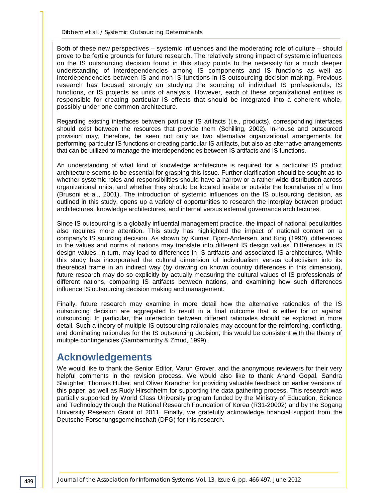Both of these new perspectives – systemic influences and the moderating role of culture – should prove to be fertile grounds for future research. The relatively strong impact of systemic influences on the IS outsourcing decision found in this study points to the necessity for a much deeper understanding of interdependencies among IS components and IS functions as well as interdependencies between IS and non IS functions in IS outsourcing decision making. Previous research has focused strongly on studying the sourcing of individual IS professionals, IS functions, or IS projects as units of analysis. However, each of these organizational entities is responsible for creating particular IS effects that should be integrated into a coherent whole, possibly under one common architecture.

Regarding existing interfaces between particular IS artifacts (i.e., products), corresponding interfaces should exist between the resources that provide them (Schilling, 2002). In-house and outsourced provision may, therefore, be seen not only as two alternative organizational arrangements for performing particular IS functions or creating particular IS artifacts, but also as alternative arrangements that can be utilized to manage the interdependencies between IS artifacts and IS functions.

An understanding of what kind of knowledge architecture is required for a particular IS product architecture seems to be essential for grasping this issue. Further clarification should be sought as to whether systemic roles and responsibilities should have a narrow or a rather wide distribution across organizational units, and whether they should be located inside or outside the boundaries of a firm (Brusoni et al., 2001). The introduction of systemic influences on the IS outsourcing decision, as outlined in this study, opens up a variety of opportunities to research the interplay between product architectures, knowledge architectures, and internal versus external governance architectures.

Since IS outsourcing is a globally influential management practice, the impact of national peculiarities also requires more attention. This study has highlighted the impact of national context on a company's IS sourcing decision. As shown by Kumar, Bjorn-Andersen, and King (1990), differences in the values and norms of nations may translate into different IS design values. Differences in IS design values, in turn, may lead to differences in IS artifacts and associated IS architectures. While this study has incorporated the cultural dimension of individualism versus collectivism into its theoretical frame in an indirect way (by drawing on known country differences in this dimension), future research may do so explicitly by actually measuring the cultural values of IS professionals of different nations, comparing IS artifacts between nations, and examining how such differences influence IS outsourcing decision making and management.

Finally, future research may examine in more detail how the alternative rationales of the IS outsourcing decision are aggregated to result in a final outcome that is either for or against outsourcing. In particular, the interaction between different rationales should be explored in more detail. Such a theory of multiple IS outsourcing rationales may account for the reinforcing, conflicting, and dominating rationales for the IS outsourcing decision; this would be consistent with the theory of multiple contingencies (Sambamurthy & Zmud, 1999).

# **Acknowledgements**

We would like to thank the Senior Editor, Varun Grover, and the anonymous reviewers for their very helpful comments in the revision process. We would also like to thank Anand Gopal, Sandra Slaughter, Thomas Huber, and Oliver Krancher for providing valuable feedback on earlier versions of this paper, as well as Rudy Hirschheim for supporting the data gathering process. This research was partially supported by World Class University program funded by the Ministry of Education, Science and Technology through the National Research Foundation of Korea (R31-20002) and by the Sogang University Research Grant of 2011. Finally, we gratefully acknowledge financial support from the Deutsche Forschungsgemeinschaft (DFG) for this research.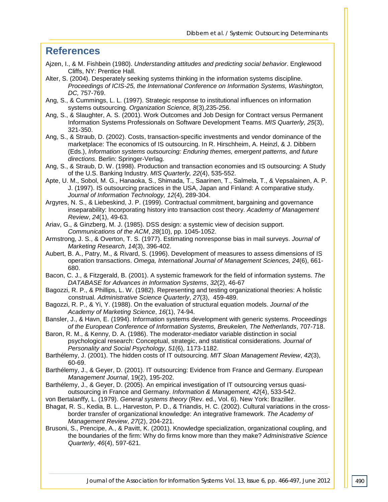# **References**

- Ajzen, I., & M. Fishbein (1980). *Understanding attitudes and predicting social behavior*. Englewood Cliffs, NY: Prentice Hall.
- Alter, S. (2004). Desperately seeking systems thinking in the information systems discipline. *Proceedings of ICIS-25, the International Conference on Information Systems, Washington, DC,* 757-769.
- Ang, S., & Cummings, L. L. (1997). Strategic response to institutional influences on information systems outsourcing. *Organization Science, 8*(3),235-256.
- Ang, S., & Slaughter, A. S. (2001). Work Outcomes and Job Design for Contract versus Permanent Information Systems Professionals on Software Development Teams. *MIS Quarterly, 25*(3), 321-350.
- Ang, S., & Straub, D. (2002). Costs, transaction-specific investments and vendor dominance of the marketplace: The economics of IS outsourcing. In R. Hirschheim, A. Heinzl, & J. Dibbern (Eds.), *Information systems outsourcing: Enduring themes, emergent patterns, and future directions*. Berlin: Springer-Verlag.
- Ang, S., & Straub, D. W. (1998). Production and transaction economies and IS outsourcing: A Study of the U.S. Banking Industry. *MIS Quarterly, 22*(4), 535-552.
- Apte, U. M., Sobol, M. G., Hanaoka, S., Shimada, T., Saarinen, T., Salmela, T., & Vepsalainen, A. P. J. (1997). IS outsourcing practices in the USA, Japan and Finland: A comparative study. *Journal of Information Technology, 12*(4), 289-304.
- Argyres, N. S., & Liebeskind, J. P. (1999). Contractual commitment, bargaining and governance inseparability: Incorporating history into transaction cost theory. *Academy of Management Review*, *24*(1), 49-63.
- Ariav, G., & Ginzberg, M. J. (1985). DSS design: a systemic view of decision support. *Communications of the ACM*, *28*(10), pp. 1045-1052.
- Armstrong, J. S., & Overton, T. S. (1977). Estimating nonresponse bias in mail surveys. *Journal of Marketing Research*, *14*(3), 396-402.
- Aubert, B. A., Patry, M., & Rivard, S. (1996). Development of measures to assess dimensions of IS operation transactions. *Omega, International Journal of Management Sciences, 24*(6), 661- 680.
- Bacon, C. J., & Fitzgerald, B. (2001). A systemic framework for the field of information systems. *The DATABASE for Advances in Information Systems*, *32*(2), 46-67
- Bagozzi, R. P., & Phillips, L. W. (1982). Representing and testing organizational theories: A holistic construal. *Administrative Science Quarterly*, *27*(3), 459-489.
- Bagozzi, R. P., & Yi, Y. (1988). On the evaluation of structural equation models. *Journal of the Academy of Marketing Science*, *16*(1), 74-94.
- Bansler, J., & Havn, E. (1994). Information systems development with generic systems. *Proceedings of the European Conference of Information Systems, Breukelen, The Netherlands*, 707-718.
- Baron, R. M., & Kenny, D. A. (1986). The moderator-mediator variable distinction in social psychological research: Conceptual, strategic, and statistical considerations. *Journal of Personality and Social Psychology*, *51*(6), 1173-1182.
- Barthélemy, J. (2001). The hidden costs of IT outsourcing. *MIT Sloan Management Review*, *42*(3), 60-69.
- Barthélemy, J., & Geyer, D. (2001). IT outsourcing: Evidence from France and Germany. *European Management Journal*, 19(2), 195-202.
- Barthélemy, J., & Geyer, D. (2005). An empirical investigation of IT outsourcing versus quasioutsourcing in France and Germany. *Information & Management, 42*(4), 533-542.
- von Bertalanffy, L. (1979). *General systems theory* (Rev. ed., Vol. 6). New York: Braziller.
- Bhagat, R. S., Kedia, B. L., Harveston, P. D., & Triandis, H. C. (2002). Cultural variations in the crossborder transfer of organizational knowledge: An integrative framework. *The Academy of Management Review*, *27*(2), 204-221.
- Brusoni, S., Prencipe, A., & Pavitt, K. (2001). Knowledge specialization, organizational coupling, and the boundaries of the firm: Why do firms know more than they make? *Administrative Science Quarterly*, *46*(4), 597-621.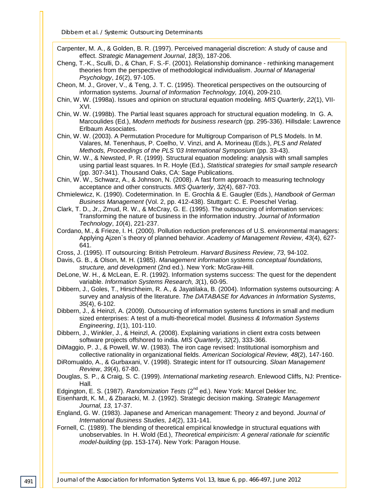*Dibbern et al. / Systemic Outsourcing Determinants*

Carpenter, M. A., & Golden, B. R. (1997). Perceived managerial discretion: A study of cause and effect. *Strategic Management Journal*, *18*(3), 187-206.

- Cheng, T.-K., Sculli, D., & Chan, F. S.-F. (2001). Relationship dominance rethinking management theories from the perspective of methodological individualism. *Journal of Managerial Psychology*, *16*(2), 97-105.
- Cheon, M. J., Grover, V., & Teng, J. T. C. (1995). Theoretical perspectives on the outsourcing of information systems. *Journal of Information Technology, 10*(4), 209-210.
- Chin, W. W. (1998a). Issues and opinion on structural equation modeling. *MIS Quarterly*, *22*(1), VII-XVI.
- Chin, W. W. (1998b). The Partial least squares approach for structural equation modeling. In G. A. Marcoulides (Ed.), *Modern methods for business research* (pp. 295-336). Hillsdale: Lawrence Erlbaum Associates.
- Chin, W. W. (2003). A Permutation Procedure for Multigroup Comparison of PLS Models. In M. Valares, M. Tenenhaus, P. Coelho, V. Vinzi, and A. Morineau (Eds.), *PLS and Related Methods, Proceedings of the PLS '03 International Symposium* (pp. 33-43).
- Chin, W. W., & Newsted, P. R. (1999). Structural equation modeling: analysis with small samples using partial least squares. In R. Hoyle (Ed.), *Statistical strategies for small sample research* (pp. 307-341). Thousand Oaks, CA: Sage Publications.
- Chin, W. W., Schwarz, A., & Johnson, N. (2008). A fast form approach to measuring technology acceptance and other constructs. *MIS Quarterly*, *32*(4), 687-703.
- Chmielewicz, K. (1990). Codetermination. In E. Grochla & E. Gaugler (Eds.), *Handbook of German Business Management* (Vol. 2, pp. 412-438). Stuttgart: C. E. Poeschel Verlag.
- Clark, T. D., Jr., Zmud, R. W., & McCray, G. E. (1995). The outsourcing of information services: Transforming the nature of business in the information industry. *Journal of Information Technology*, *10*(4), 221-237.
- Cordano, M., & Frieze, I. H. (2000). Pollution reduction preferences of U.S. environmental managers: Applying Ajzen`s theory of planned behavior. *Academy of Management Review*, *43*(4), 627- 641.
- Cross, J. (1995). IT outsourcing: British Petroleum. *Harvard Business Review*, *73*, 94-102.
- Davis, G. B., & Olson, M. H. (1985). *Management information systems conceptual foundations, structure, and development* (2nd ed.). New York: McGraw-Hill.
- DeLone, W. H., & McLean, E. R. (1992). Information systems success: The quest for the dependent variable. *Information Systems Research, 3*(1), 60-95.
- Dibbern, J., Goles, T., Hirschheim, R. A., & Jayatilaka, B. (2004). Information systems outsourcing: A survey and analysis of the literature. *The DATABASE for Advances in Information Systems*, *35*(4), 6-102.
- Dibbern, J., & Heinzl, A. (2009). Outsourcing of information systems functions in small and medium sized enterprises: A test of a multi-theoretical model. *Business & Information Systems Engineering*, *1*(1), 101-110.
- Dibbern, J., Winkler, J., & Heinzl, A. (2008). Explaining variations in client extra costs between software projects offshored to india. *MIS Quarterly*, *32*(2), 333-366.

DiMaggio, P. J., & Powell, W. W. (1983). The iron cage revised: Institutional isomorphism and collective rationality in organizational fields. *American Sociological Review, 48*(2), 147-160.

DiRomualdo, A., & Gurbaxani, V. (1998). Strategic intent for IT outsourcing. *Sloan Management Review*, *39*(4), 67-80.

- Douglas, S. P., & Craig, S. C. (1999). *International marketing research*. Enlewood Cliffs, NJ: Prentice-Hall.
- Edgington, E. S. (1987). *Randomization Tests* (2<sup>nd</sup> ed.). New York: Marcel Dekker Inc.
- Eisenhardt, K. M., & Zbaracki, M. J. (1992). Strategic decision making. *Strategic Management Journal, 13,* 17-37.
- England, G. W. (1983). Japanese and American management: Theory z and beyond. *Journal of International Business Studies, 14*(2), 131-141.
- Fornell, C. (1989). The blending of theoretical empirical knowledge in structural equations with unobservables. In H. Wold (Ed.), *Theoretical empiricism: A general rationale for scientific model-building* (pp. 153-174). New York: Paragon House.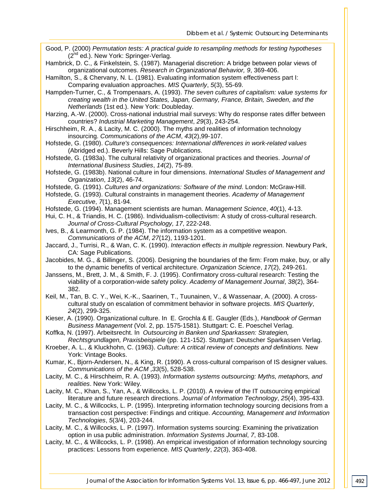- Good, P. (2000) *Permutation tests: A practical guide to resampling methods for testing hypotheses* (2<sup>nd</sup> ed.). New York: Springer-Verlag.
- Hambrick, D. C., & Finkelstein, S. (1987). Managerial discretion: A bridge between polar views of organizational outcomes. *Research in Organizational Behavior, 9*, 369-406.

Hamilton, S., & Chervany, N. L. (1981). Evaluating information system effectiveness part I: Comparing evaluation approaches. *MIS Quarterly*, *5*(3), 55-69.

Hampden-Turner, C., & Trompenaars, A. (1993). *The seven cultures of capitalism: value systems for creating wealth in the United States, Japan, Germany, France, Britain, Sweden, and the Netherlands* (1st ed.). New York: Doubleday.

Harzing, A.-W. (2000). Cross-national industrial mail surveys: Why do response rates differ between countries? *Industrial Marketing Management*, *29*(3), 243-254.

- Hirschheim, R. A., & Lacity, M. C. (2000). The myths and realities of information technology insourcing. *Communications of the ACM*, *43*(2),99-107.
- Hofstede, G. (1980). *Culture's consequences: International differences in work-related values* (Abridged ed.). Beverly Hills: Sage Publications.
- Hofstede, G. (1983a). The cultural relativity of organizational practices and theories. *Journal of International Business Studies*, *14*(2), 75-89.
- Hofstede, G. (1983b). National culture in four dimensions. *International Studies of Management and Organization*, *13*(2), 46-74.
- Hofstede, G. (1991). *Cultures and organizations: Software of the mind*. London: McGraw-Hill.
- Hofstede, G. (1993). Cultural constraints in management theories. *Academy of Management Executive*, *7*(1), 81-94.
- Hofstede, G. (1994). Management scientists are human. *Management Science*, *40*(1), 4-13.
- Hui, C. H., & Triandis, H. C. (1986). Individualism-collectivism: A study of cross-cultural research. *Journal of Cross-Cultural Psychology, 17*, 222-248.
- Ives, B., & Learmonth, G. P. (1984). The information system as a competitive weapon. *Communications of the ACM*, *27*(12), 1193-1201.
- Jaccard, J., Turrisi, R., & Wan, C. K. (1990). *Interaction effects in multiple regression*. Newbury Park, CA: Sage Publications.
- Jacobides, M. G., & Billinger, S. (2006). Designing the boundaries of the firm: From make, buy, or ally to the dynamic benefits of vertical architecture. *Organization Science*, *17*(2), 249-261.
- Janssens, M., Brett, J. M., & Smith, F. J. (1995). Confirmatory cross-cultural research: Testing the viability of a corporation-wide safety policy. *Academy of Management Journal*, *38*(2), 364- 382.
- Keil, M., Tan, B. C. Y., Wei, K.-K., Saarinen, T., Tuunainen, V., & Wassenaar, A. (2000). A crosscultural study on escalation of commitment behavior in software projects. *MIS Quarterly*, *24*(2), 299-325.
- Kieser, A. (1990). Organizational culture. In E. Grochla & E. Gaugler (Eds.), *Handbook of German Business Management* (Vol. 2, pp. 1575-1581). Stuttgart: C. E. Poeschel Verlag.

Koffka, N. (1997). Arbeitsrecht. In *Outsourcing in Banken und Sparkassen: Strategien, Rechtsgrundlagen, Praxisbeispiele* (pp. 121-152). Stuttgart: Deutscher Sparkassen Verlag.

Kroeber, A. L., & Kluckhohn, C. (1963). *Culture: A critical review of concepts and definitions.* New York: Vintage Books.

Kumar, K., Bjorn-Andersen, N., & King, R. (1990). A cross-cultural comparison of IS designer values. *Communications of the ACM* ,*33*(5), 528-538.

Lacity, M. C., & Hirschheim, R. A. (1993). *Information systems outsourcing: Myths, metaphors, and realities*. New York: Wiley.

Lacity, M. C., Khan, S., Yan, A., & Willcocks, L. P. (2010). A review of the IT outsourcing empirical literature and future research directions. *Journal of Information Technology*, *25*(4), 395-433.

- Lacity, M. C., & Willcocks, L. P. (1995). Interpreting information technology sourcing decisions from a transaction cost perspective: Findings and critique. *Accounting, Management and Information Technologies*, *5*(3/4), 203-244.
- Lacity, M. C., & Willcocks, L. P. (1997). Information systems sourcing: Examining the privatization option in usa public administration. *Information Systems Journal*, *7*, 83-108.
- Lacity, M. C., & Willcocks, L. P. (1998). An empirical investigation of information technology sourcing practices: Lessons from experience. *MIS Quarterly*, *22*(3), 363-408.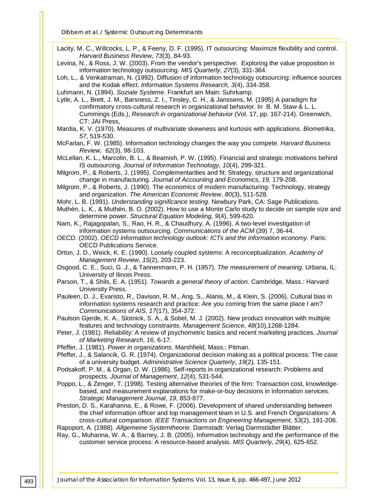Lacity, M. C., Willcocks, L. P., & Feeny, D. F. (1995). IT outsourcing: Maximize flexibility and control. *Harvard Business Review, 73*(3), 84-93.

Levina, N., & Ross, J. W. (2003). From the vendor's perspective: Exploring the value proposition in information technology outsourcing. *MIS Quarterly*, *27*(3), 331-364.

Loh, L., & Venkatraman, N. (1992). Diffusion of information technology outsourcing: influence sources and the Kodak effect. *Information Systems Research, 3*(4), 334-358.

Luhmann, N. (1994). *Soziale Systeme*. Frankfurt am Main: Suhrkamp.

Lytle, A. L., Brett, J. M., Barsness, Z. I., Tinsley, C. H., & Janssens, M. (1995) A paradigm for confirmatory cross-cultural research in organizational behavior. In B. M. Staw & L. L. Cummings (Eds.), *Research in organizational behavior* (Vol. 17, pp. 167-214). Greenwich, CT: JAI Press,

Mardia, K. V. (1970). Measures of multivariate skewness and kurtosis with applications. *Biometrika*, *57*, 519-530.

McFarlan, F. W. (1985). Information technology changes the way you compete. *Harvard Business Review, 62*(3), 98-103.

McLellan, K. L., Marcolin, B. L., & Beamish, P. W. (1995). Financial and strategic motivations behind IS outsourcing. *Journal of Information Technology, 10*(4), 299-321.

- Milgrom, P., & Roberts, J. (1995). Complementarities and fit: Strategy, structure and organizational change in manufacturing. *Journal of Accounting and Economics*, *19,* 179-208.
- Milgrom, P., & Roberts, J. (1990). The economics of modern manufacturing: Technology, strategy and organization. *The American Economic Review*, *80*(3), 511-528.
- Mohr, L. B. (1991). *Understanding significance testing*. Newbury Park, CA: Sage Publications.
- Muthén, L. K., & Muthén, B. O. (2002). How to use a Monte Carlo study to decide on sample size and determine power. *Structural Equation Modeling, 9*(4), 599-620.

Nam, K., Rajagopalan, S., Rao, H. R., & Chaudhury, A. (1996). A two-level investigation of information systems outsourcing. *Communications of the ACM* (39) 7, 36-44.

- OECD. (2002). *OECD information technology outlook: ICTs and the information economy.* Paris: OECD Publications Service.
- Orton, J. D., Weick, K. E. (1990). Loosely coupled systems: A reconceptualization. *Academy of Management Review*, *15*(2), 203-223.
- Osgood, C. E., Suci, G. J., & Tannenmann, P. H. (1957). *The measurement of meaning*. Urbana, IL: University of Ilinois Press.
- Parson, T., & Shils, E. A. (1951). *Towards a general theory of action.* Cambridge, Mass.: Harvard University Press.
- Pauleen, D. J., Evaristo, R., Davison, R. M., Ang, S., Alanis, M., & Klein, S. (2006). Cultural bias in information systems research and practice: Are you coming from the same place I am? *Communications of AIS*, *17*(17), 354-372.

Paulson Gjerde, K. A., Slotnick, S. A., & Sobel, M. J. (2002). New product innovation with multiple features and technology constraints. *Management Science*, *48*(10),1268-1284.

- Peter, J. (1981). Reliability: A review of psychometric basics and recent marketing practices. *Journal of Marketing Research*, *16*, 6-17.
- Pfeffer, J. (1981). *Power in organizations*. Marshfield, Mass.: Pitman.
- Pfeffer, J., & Salancik, G. R. (1974). Organizational decision making as a political process: The case of a university budget. *Administrative Science Quarterly*, *19*(2)*,* 135-151.
- Podsakoff, P. M., & Organ, D. W. (1986). Self-reports in organizational research: Problems and prospects. *Journal of Management*, *12*(4), 531-544.
- Poppo, L., & Zenger, T. (1998). Testing alternative theories of the firm: Transaction cost, knowledgebased, and measurement explanations for make-or-buy decisions in information services. *Strategic Management Journal*, *19*, 853-877.

Preston, D. S., Karahanna, E., & Rowe, F. (2006). Development of shared understanding between the chief information officer and top management team in U.S. and French Organizations: A cross-cultural comparison. *IEEE Transactions on Engineering Management*, *53*(2), 191-206.

Rapoport, A. (1988). *Allgemeine Systemtheorie*. Darmstadt: Verlag Darmstädter Blätter.

Ray, G., Muhanna, W. A., & Barney, J. B. (2005). Information technology and the performance of the customer service process: A resource-based analysis. *MIS Quarterly*, *29*(4), 625-652.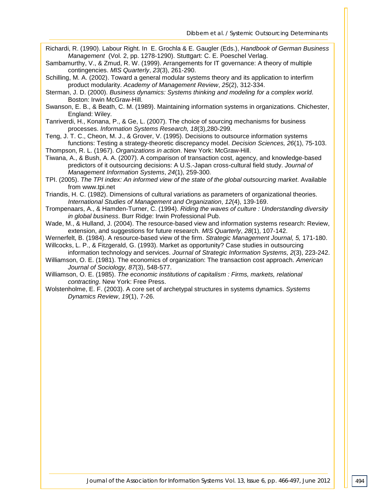- Richardi, R. (1990). Labour Right. In E. Grochla & E. Gaugler (Eds.), *Handbook of German Business Management* (Vol. 2, pp. 1278-1290). Stuttgart: C. E. Poeschel Verlag.
- Sambamurthy, V., & Zmud, R. W. (1999). Arrangements for IT governance: A theory of multiple contingencies. *MIS Quarterly*, *23*(3), 261-290.
- Schilling, M. A. (2002). Toward a general modular systems theory and its application to interfirm product modularity. *Academy of Management Review*, *25*(2), 312-334.
- Sterman, J. D. (2000). *Business dynamics: Systems thinking and modeling for a complex world*. Boston: Irwin McGraw-Hill.
- Swanson, E. B., & Beath, C. M. (1989). Maintaining information systems in organizations. Chichester, England: Wiley.
- Tanriverdi, H., Konana, P., & Ge, L. (2007). The choice of sourcing mechanisms for business processes. *Information Systems Research, 18*(3),280-299.
- Teng, J. T. C., Cheon, M. J., & Grover, V. (1995). Decisions to outsource information systems functions: Testing a strategy-theoretic discrepancy model. *Decision Sciences, 26*(1), 75-103.
- Thompson, R. L. (1967). *Organizations in action*. New York: McGraw-Hill.
- Tiwana, A., & Bush, A. A. (2007). A comparison of transaction cost, agency, and knowledge-based predictors of it outsourcing decisions: A U.S.-Japan cross-cultural field study. *Journal of Management Information Systems*, *24*(1), 259-300.
- TPI. (2005). *The TPI index: An informed view of the state of the global outsourcing market*. Available from www.tpi.net
- Triandis, H. C. (1982). Dimensions of cultural variations as parameters of organizational theories. *International Studies of Management and Organization*, *12*(4), 139-169.
- Trompenaars, A., & Hamden-Turner, C. (1994). *Riding the waves of culture : Understanding diversity in global business*. Burr Ridge: Irwin Professional Pub.
- Wade, M., & Hulland, J. (2004). The resource-based view and information systems research: Review, extension, and suggestions for future research. *MIS Quarterly*, *28*(1), 107-142.
- Wernerfelt, B. (1984). A resource-based view of the firm. *Strategic Management Journal, 5,* 171-180.
- Willcocks, L. P., & Fitzgerald, G. (1993). Market as opportunity? Case studies in outsourcing
- information technology and services. *Journal of Strategic Information Systems, 2*(3), 223-242. Williamson, O. E. (1981). The economics of organization: The transaction cost approach. *American Journal of Sociology, 87*(3), 548-577.
- Williamson, O. E. (1985). *The economic institutions of capitalism : Firms, markets, relational contracting*. New York: Free Press.
- Wolstenholme, E. F. (2003). A core set of archetypal structures in systems dynamics. *Systems Dynamics Review*, *19*(1), 7-26.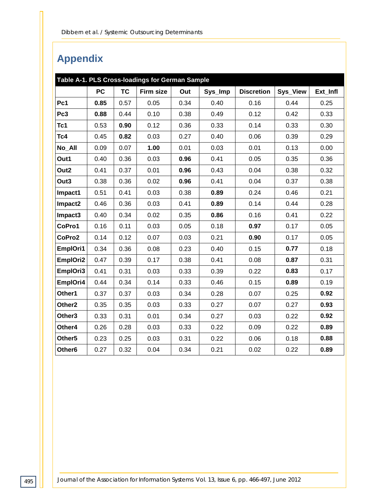# **Appendix**

| Table A-1. PLS Cross-loadings for German Sample |           |           |                  |      |         |                   |          |          |
|-------------------------------------------------|-----------|-----------|------------------|------|---------|-------------------|----------|----------|
|                                                 | <b>PC</b> | <b>TC</b> | <b>Firm size</b> | Out  | Sys_Imp | <b>Discretion</b> | Sys_View | Ext_Infl |
| Pc1                                             | 0.85      | 0.57      | 0.05             | 0.34 | 0.40    | 0.16              | 0.44     | 0.25     |
| Pc3                                             | 0.88      | 0.44      | 0.10             | 0.38 | 0.49    | 0.12              | 0.42     | 0.33     |
| Tc1                                             | 0.53      | 0.90      | 0.12             | 0.36 | 0.33    | 0.14              | 0.33     | 0.30     |
| Tc4                                             | 0.45      | 0.82      | 0.03             | 0.27 | 0.40    | 0.06              | 0.39     | 0.29     |
| No_All                                          | 0.09      | 0.07      | 1.00             | 0.01 | 0.03    | 0.01              | 0.13     | 0.00     |
| Out1                                            | 0.40      | 0.36      | 0.03             | 0.96 | 0.41    | 0.05              | 0.35     | 0.36     |
| Out <sub>2</sub>                                | 0.41      | 0.37      | 0.01             | 0.96 | 0.43    | 0.04              | 0.38     | 0.32     |
| Out3                                            | 0.38      | 0.36      | 0.02             | 0.96 | 0.41    | 0.04              | 0.37     | 0.38     |
| Impact1                                         | 0.51      | 0.41      | 0.03             | 0.38 | 0.89    | 0.24              | 0.46     | 0.21     |
| Impact2                                         | 0.46      | 0.36      | 0.03             | 0.41 | 0.89    | 0.14              | 0.44     | 0.28     |
| Impact <sub>3</sub>                             | 0.40      | 0.34      | 0.02             | 0.35 | 0.86    | 0.16              | 0.41     | 0.22     |
| CoPro1                                          | 0.16      | 0.11      | 0.03             | 0.05 | 0.18    | 0.97              | 0.17     | 0.05     |
| CoPro2                                          | 0.14      | 0.12      | 0.07             | 0.03 | 0.21    | 0.90              | 0.17     | 0.05     |
| EmplOri1                                        | 0.34      | 0.36      | 0.08             | 0.23 | 0.40    | 0.15              | 0.77     | 0.18     |
| EmplOri2                                        | 0.47      | 0.39      | 0.17             | 0.38 | 0.41    | 0.08              | 0.87     | 0.31     |
| EmplOri3                                        | 0.41      | 0.31      | 0.03             | 0.33 | 0.39    | 0.22              | 0.83     | 0.17     |
| EmplOri4                                        | 0.44      | 0.34      | 0.14             | 0.33 | 0.46    | 0.15              | 0.89     | 0.19     |
| Other1                                          | 0.37      | 0.37      | 0.03             | 0.34 | 0.28    | 0.07              | 0.25     | 0.92     |
| Other <sub>2</sub>                              | 0.35      | 0.35      | 0.03             | 0.33 | 0.27    | 0.07              | 0.27     | 0.93     |
| Other <sub>3</sub>                              | 0.33      | 0.31      | 0.01             | 0.34 | 0.27    | 0.03              | 0.22     | 0.92     |
| Other4                                          | 0.26      | 0.28      | 0.03             | 0.33 | 0.22    | 0.09              | 0.22     | 0.89     |
| Other <sub>5</sub>                              | 0.23      | 0.25      | 0.03             | 0.31 | 0.22    | 0.06              | 0.18     | 0.88     |
| Other <sub>6</sub>                              | 0.27      | 0.32      | 0.04             | 0.34 | 0.21    | 0.02              | 0.22     | 0.89     |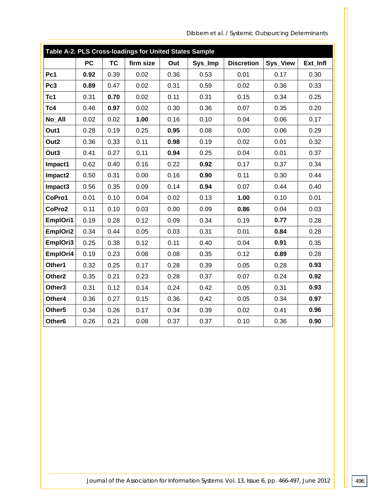| Table A-2. PLS Cross-loadings for United States Sample |           |           |           |      |         |                   |          |          |
|--------------------------------------------------------|-----------|-----------|-----------|------|---------|-------------------|----------|----------|
|                                                        | <b>PC</b> | <b>TC</b> | firm size | Out  | Sys_Imp | <b>Discretion</b> | Sys_View | Ext_Infl |
| Pc1                                                    | 0.92      | 0.39      | 0.02      | 0.36 | 0.53    | 0.01              | 0.17     | 0.30     |
| Pc3                                                    | 0.89      | 0.47      | 0.02      | 0.31 | 0.59    | 0.02              | 0.36     | 0.33     |
| Tc1                                                    | 0.31      | 0.70      | 0.02      | 0.11 | 0.31    | 0.15              | 0.34     | 0.25     |
| Tc4                                                    | 0.46      | 0.97      | 0.02      | 0.30 | 0.36    | 0.07              | 0.35     | 0.20     |
| No_All                                                 | 0.02      | 0.02      | 1.00      | 0.16 | 0.10    | 0.04              | 0.06     | 0.17     |
| Out1                                                   | 0.28      | 0.19      | 0.25      | 0.95 | 0.08    | 0.00              | 0.06     | 0.29     |
| Out <sub>2</sub>                                       | 0.36      | 0.33      | 0.11      | 0.98 | 0.19    | 0.02              | 0.01     | 0.32     |
| Out3                                                   | 0.41      | 0.27      | 0.11      | 0.94 | 0.25    | 0.04              | 0.01     | 0.37     |
| Impact1                                                | 0.62      | 0.40      | 0.16      | 0.22 | 0.92    | 0.17              | 0.37     | 0.34     |
| Impact2                                                | 0.50      | 0.31      | 0.00      | 0.16 | 0.90    | 0.11              | 0.30     | 0.44     |
| Impact3                                                | 0.56      | 0.35      | 0.09      | 0.14 | 0.94    | 0.07              | 0.44     | 0.40     |
| CoPro1                                                 | 0.01      | 0.10      | 0.04      | 0.02 | 0.13    | 1.00              | 0.10     | 0.01     |
| CoPro2                                                 | 0.11      | 0.10      | 0.03      | 0.00 | 0.09    | 0.86              | 0.04     | 0.03     |
| EmplOri1                                               | 0.19      | 0.28      | 0.12      | 0.09 | 0.34    | 0.19              | 0.77     | 0.28     |
| EmplOri2                                               | 0.34      | 0.44      | 0.05      | 0.03 | 0.31    | 0.01              | 0.84     | 0.28     |
| EmplOri3                                               | 0.25      | 0.38      | 0.12      | 0.11 | 0.40    | 0.04              | 0.91     | 0.35     |
| EmplOri4                                               | 0.19      | 0.23      | 0.08      | 0.08 | 0.35    | 0.12              | 0.89     | 0.28     |
| Other1                                                 | 0.32      | 0.25      | 0.17      | 0.28 | 0.39    | 0.05              | 0.28     | 0.93     |
| Other <sub>2</sub>                                     | 0.35      | 0.21      | 0.23      | 0.28 | 0.37    | 0.07              | 0.24     | 0.92     |
| Other3                                                 | 0.31      | 0.12      | 0.14      | 0.24 | 0.42    | 0.05              | 0.31     | 0.93     |
| Other4                                                 | 0.36      | 0.27      | 0.15      | 0.36 | 0.42    | 0.05              | 0.34     | 0.97     |
| Other <sub>5</sub>                                     | 0.34      | 0.26      | 0.17      | 0.34 | 0.39    | 0.02              | 0.41     | 0.96     |
| Other <sub>6</sub>                                     | 0.26      | 0.21      | 0.08      | 0.37 | 0.37    | 0.10              | 0.36     | 0.90     |

*Dibbern et al. / Systemic Outsourcing Determinants*